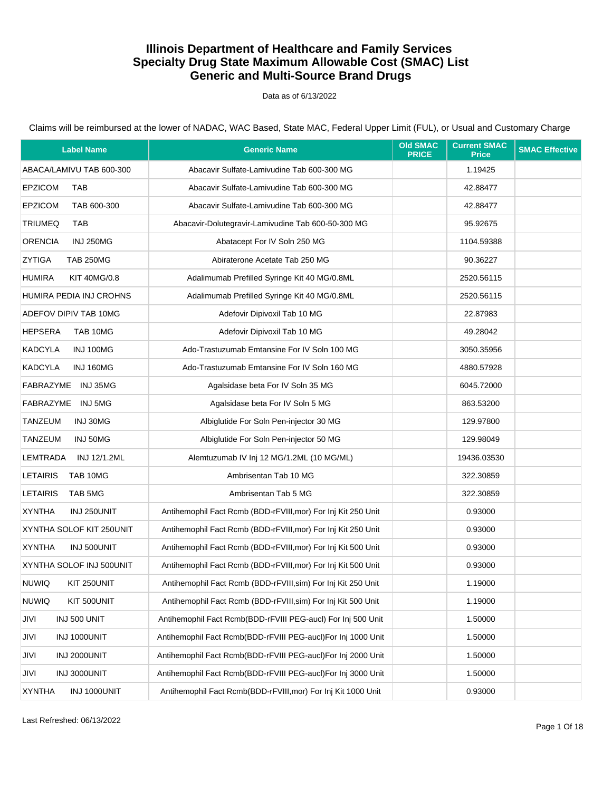#### Data as of 6/13/2022

| <b>Label Name</b>                    | <b>Generic Name</b>                                           | <b>Old SMAC</b><br><b>PRICE</b> | <b>Current SMAC</b><br><b>Price</b> | <b>SMAC Effective</b> |
|--------------------------------------|---------------------------------------------------------------|---------------------------------|-------------------------------------|-----------------------|
| ABACA/LAMIVU TAB 600-300             | Abacavir Sulfate-Lamivudine Tab 600-300 MG                    |                                 | 1.19425                             |                       |
| <b>EPZICOM</b><br><b>TAB</b>         | Abacavir Sulfate-Lamivudine Tab 600-300 MG                    |                                 | 42.88477                            |                       |
| <b>EPZICOM</b><br>TAB 600-300        | Abacavir Sulfate-Lamivudine Tab 600-300 MG                    |                                 | 42.88477                            |                       |
| <b>TRIUMEQ</b><br><b>TAB</b>         | Abacavir-Dolutegravir-Lamivudine Tab 600-50-300 MG            |                                 | 95.92675                            |                       |
| <b>ORENCIA</b><br><b>INJ 250MG</b>   | Abatacept For IV Soln 250 MG                                  |                                 | 1104.59388                          |                       |
| ZYTIGA<br><b>TAB 250MG</b>           | Abiraterone Acetate Tab 250 MG                                |                                 | 90.36227                            |                       |
| <b>HUMIRA</b><br><b>KIT 40MG/0.8</b> | Adalimumab Prefilled Syringe Kit 40 MG/0.8ML                  |                                 | 2520.56115                          |                       |
| HUMIRA PEDIA INJ CROHNS              | Adalimumab Prefilled Syringe Kit 40 MG/0.8ML                  |                                 | 2520.56115                          |                       |
| ADEFOV DIPIV TAB 10MG                | Adefovir Dipivoxil Tab 10 MG                                  |                                 | 22.87983                            |                       |
| <b>HEPSERA</b><br>TAB 10MG           | Adefovir Dipivoxil Tab 10 MG                                  |                                 | 49.28042                            |                       |
| KADCYLA<br><b>INJ 100MG</b>          | Ado-Trastuzumab Emtansine For IV Soln 100 MG                  |                                 | 3050.35956                          |                       |
| <b>KADCYLA</b><br><b>INJ 160MG</b>   | Ado-Trastuzumab Emtansine For IV Soln 160 MG                  |                                 | 4880.57928                          |                       |
| FABRAZYME INJ 35MG                   | Agalsidase beta For IV Soln 35 MG                             |                                 | 6045.72000                          |                       |
| FABRAZYME INJ 5MG                    | Agalsidase beta For IV Soln 5 MG                              |                                 | 863.53200                           |                       |
| TANZEUM<br>INJ 30MG                  | Albiglutide For Soln Pen-injector 30 MG                       |                                 | 129.97800                           |                       |
| TANZEUM<br>INJ 50MG                  | Albiglutide For Soln Pen-injector 50 MG                       |                                 | 129.98049                           |                       |
| LEMTRADA<br>INJ 12/1.2ML             | Alemtuzumab IV Inj 12 MG/1.2ML (10 MG/ML)                     |                                 | 19436.03530                         |                       |
| <b>LETAIRIS</b><br>TAB 10MG          | Ambrisentan Tab 10 MG                                         |                                 | 322.30859                           |                       |
| <b>LETAIRIS</b><br>TAB 5MG           | Ambrisentan Tab 5 MG                                          |                                 | 322.30859                           |                       |
| <b>XYNTHA</b><br>INJ 250UNIT         | Antihemophil Fact Rcmb (BDD-rFVIII, mor) For Inj Kit 250 Unit |                                 | 0.93000                             |                       |
| XYNTHA SOLOF KIT 250UNIT             | Antihemophil Fact Rcmb (BDD-rFVIII, mor) For Inj Kit 250 Unit |                                 | 0.93000                             |                       |
| <b>XYNTHA</b><br>INJ 500UNIT         | Antihemophil Fact Rcmb (BDD-rFVIII, mor) For Inj Kit 500 Unit |                                 | 0.93000                             |                       |
| XYNTHA SOLOF INJ 500UNIT             | Antihemophil Fact Rcmb (BDD-rFVIII, mor) For Inj Kit 500 Unit |                                 | 0.93000                             |                       |
| <b>NUWIQ</b><br>KIT 250UNIT          | Antihemophil Fact Rcmb (BDD-rFVIII, sim) For Inj Kit 250 Unit |                                 | 1.19000                             |                       |
| <b>NUWIQ</b><br>KIT 500UNIT          | Antihemophil Fact Rcmb (BDD-rFVIII, sim) For Inj Kit 500 Unit |                                 | 1.19000                             |                       |
| JIVI<br>INJ 500 UNIT                 | Antihemophil Fact Rcmb(BDD-rFVIII PEG-aucl) For Inj 500 Unit  |                                 | 1.50000                             |                       |
| JIVI<br>INJ 1000UNIT                 | Antihemophil Fact Rcmb(BDD-rFVIII PEG-aucl)For Inj 1000 Unit  |                                 | 1.50000                             |                       |
| INJ 2000UNIT<br>JIVI                 | Antihemophil Fact Rcmb(BDD-rFVIII PEG-aucl)For Inj 2000 Unit  |                                 | 1.50000                             |                       |
| JIVI<br>INJ 3000UNIT                 | Antihemophil Fact Rcmb(BDD-rFVIII PEG-aucl)For Inj 3000 Unit  |                                 | 1.50000                             |                       |
| <b>XYNTHA</b><br>INJ 1000UNIT        | Antihemophil Fact Rcmb(BDD-rFVIII, mor) For Inj Kit 1000 Unit |                                 | 0.93000                             |                       |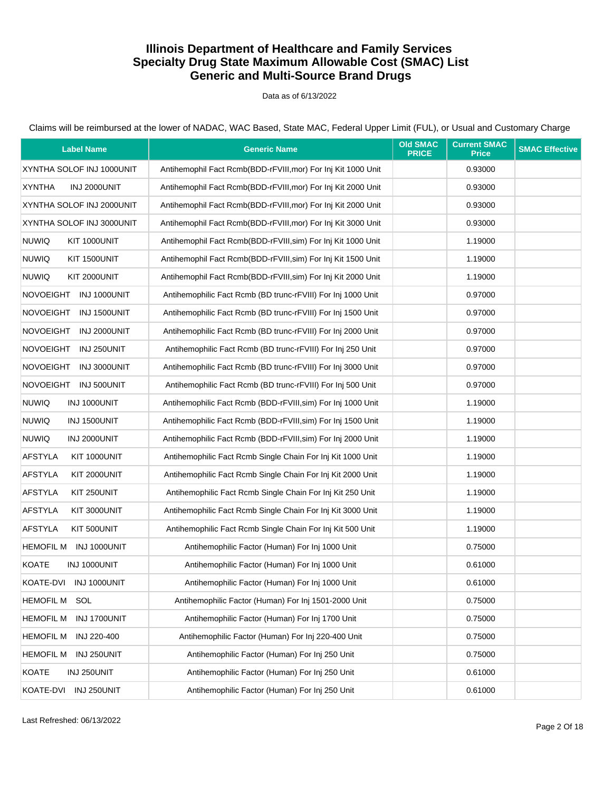Data as of 6/13/2022

| <b>Label Name</b>                | <b>Generic Name</b>                                           | <b>Old SMAC</b><br><b>PRICE</b> | <b>Current SMAC</b><br><b>Price</b> | <b>SMAC Effective</b> |
|----------------------------------|---------------------------------------------------------------|---------------------------------|-------------------------------------|-----------------------|
| XYNTHA SOLOF INJ 1000UNIT        | Antihemophil Fact Rcmb(BDD-rFVIII, mor) For Inj Kit 1000 Unit |                                 | 0.93000                             |                       |
| <b>XYNTHA</b><br>INJ 2000UNIT    | Antihemophil Fact Rcmb(BDD-rFVIII, mor) For Inj Kit 2000 Unit |                                 | 0.93000                             |                       |
| XYNTHA SOLOF INJ 2000UNIT        | Antihemophil Fact Rcmb(BDD-rFVIII, mor) For Inj Kit 2000 Unit |                                 | 0.93000                             |                       |
| XYNTHA SOLOF INJ 3000UNIT        | Antihemophil Fact Rcmb(BDD-rFVIII, mor) For Inj Kit 3000 Unit |                                 | 0.93000                             |                       |
| <b>NUWIQ</b><br>KIT 1000UNIT     | Antihemophil Fact Rcmb(BDD-rFVIII, sim) For Inj Kit 1000 Unit |                                 | 1.19000                             |                       |
| <b>NUWIQ</b><br>KIT 1500UNIT     | Antihemophil Fact Rcmb(BDD-rFVIII, sim) For Inj Kit 1500 Unit |                                 | 1.19000                             |                       |
| <b>NUWIQ</b><br>KIT 2000UNIT     | Antihemophil Fact Rcmb(BDD-rFVIII, sim) For Inj Kit 2000 Unit |                                 | 1.19000                             |                       |
| NOVOEIGHT INJ 1000UNIT           | Antihemophilic Fact Rcmb (BD trunc-rFVIII) For Inj 1000 Unit  |                                 | 0.97000                             |                       |
| NOVOEIGHT INJ 1500UNIT           | Antihemophilic Fact Rcmb (BD trunc-rFVIII) For Inj 1500 Unit  |                                 | 0.97000                             |                       |
| <b>NOVOEIGHT</b><br>INJ 2000UNIT | Antihemophilic Fact Rcmb (BD trunc-rFVIII) For Inj 2000 Unit  |                                 | 0.97000                             |                       |
| NOVOEIGHT INJ 250UNIT            | Antihemophilic Fact Rcmb (BD trunc-rFVIII) For Inj 250 Unit   |                                 | 0.97000                             |                       |
| <b>NOVOEIGHT</b><br>INJ 3000UNIT | Antihemophilic Fact Rcmb (BD trunc-rFVIII) For Inj 3000 Unit  |                                 | 0.97000                             |                       |
| NOVOEIGHT INJ 500UNIT            | Antihemophilic Fact Rcmb (BD trunc-rFVIII) For Inj 500 Unit   |                                 | 0.97000                             |                       |
| <b>NUWIQ</b><br>INJ 1000UNIT     | Antihemophilic Fact Rcmb (BDD-rFVIII, sim) For Inj 1000 Unit  |                                 | 1.19000                             |                       |
| <b>NUWIQ</b><br>INJ 1500UNIT     | Antihemophilic Fact Rcmb (BDD-rFVIII, sim) For Inj 1500 Unit  |                                 | 1.19000                             |                       |
| <b>NUWIQ</b><br>INJ 2000UNIT     | Antihemophilic Fact Rcmb (BDD-rFVIII, sim) For Inj 2000 Unit  |                                 | 1.19000                             |                       |
| <b>AFSTYLA</b><br>KIT 1000UNIT   | Antihemophilic Fact Rcmb Single Chain For Inj Kit 1000 Unit   |                                 | 1.19000                             |                       |
| <b>AFSTYLA</b><br>KIT 2000UNIT   | Antihemophilic Fact Rcmb Single Chain For Inj Kit 2000 Unit   |                                 | 1.19000                             |                       |
| <b>AFSTYLA</b><br>KIT 250UNIT    | Antihemophilic Fact Rcmb Single Chain For Inj Kit 250 Unit    |                                 | 1.19000                             |                       |
| <b>AFSTYLA</b><br>KIT 3000UNIT   | Antihemophilic Fact Rcmb Single Chain For Inj Kit 3000 Unit   |                                 | 1.19000                             |                       |
| <b>AFSTYLA</b><br>KIT 500UNIT    | Antihemophilic Fact Rcmb Single Chain For Inj Kit 500 Unit    |                                 | 1.19000                             |                       |
| <b>HEMOFIL M</b><br>INJ 1000UNIT | Antihemophilic Factor (Human) For Inj 1000 Unit               |                                 | 0.75000                             |                       |
| <b>KOATE</b><br>INJ 1000UNIT     | Antihemophilic Factor (Human) For Inj 1000 Unit               |                                 | 0.61000                             |                       |
| KOATE-DVI INJ 1000UNIT           | Antihemophilic Factor (Human) For Inj 1000 Unit               |                                 | 0.61000                             |                       |
| <b>HEMOFIL M</b><br>SOL          | Antihemophilic Factor (Human) For Inj 1501-2000 Unit          |                                 | 0.75000                             |                       |
| INJ 1700UNIT<br>HEMOFIL M        | Antihemophilic Factor (Human) For Inj 1700 Unit               |                                 | 0.75000                             |                       |
| <b>HEMOFIL M</b><br>INJ 220-400  | Antihemophilic Factor (Human) For Inj 220-400 Unit            |                                 | 0.75000                             |                       |
| <b>HEMOFIL M</b><br>INJ 250UNIT  | Antihemophilic Factor (Human) For Inj 250 Unit                |                                 | 0.75000                             |                       |
| <b>KOATE</b><br>INJ 250UNIT      | Antihemophilic Factor (Human) For Inj 250 Unit                |                                 | 0.61000                             |                       |
| INJ 250UNIT<br>KOATE-DVI         | Antihemophilic Factor (Human) For Inj 250 Unit                |                                 | 0.61000                             |                       |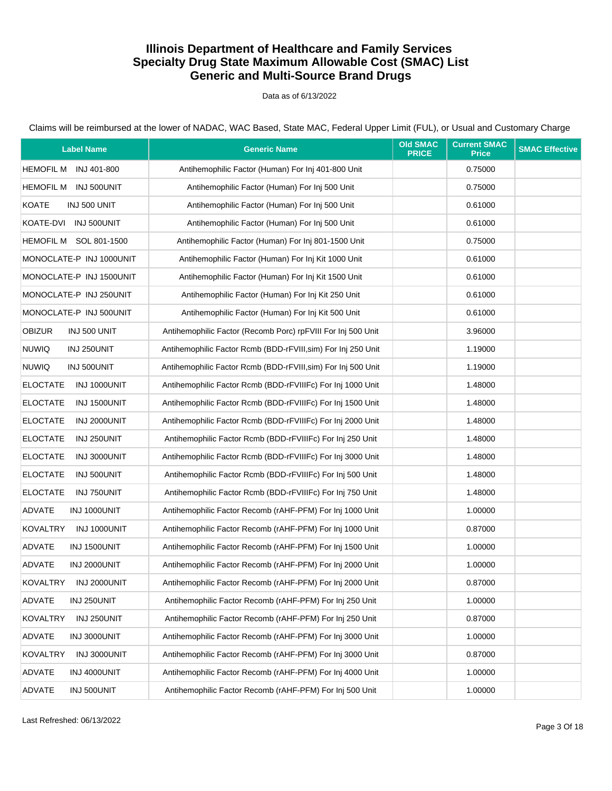Data as of 6/13/2022

| <b>Label Name</b>               | <b>Generic Name</b>                                           | <b>Old SMAC</b><br><b>PRICE</b> | <b>Current SMAC</b><br><b>Price</b> | <b>SMAC Effective</b> |
|---------------------------------|---------------------------------------------------------------|---------------------------------|-------------------------------------|-----------------------|
| <b>HEMOFIL M</b><br>INJ 401-800 | Antihemophilic Factor (Human) For Inj 401-800 Unit            |                                 | 0.75000                             |                       |
| <b>HEMOFIL M</b><br>INJ 500UNIT | Antihemophilic Factor (Human) For Inj 500 Unit                |                                 | 0.75000                             |                       |
| <b>KOATE</b><br>INJ 500 UNIT    | Antihemophilic Factor (Human) For Inj 500 Unit                |                                 | 0.61000                             |                       |
| KOATE-DVI INJ 500UNIT           | Antihemophilic Factor (Human) For Inj 500 Unit                |                                 | 0.61000                             |                       |
| HEMOFIL M SOL 801-1500          | Antihemophilic Factor (Human) For Inj 801-1500 Unit           |                                 | 0.75000                             |                       |
| MONOCLATE-P INJ 1000UNIT        | Antihemophilic Factor (Human) For Inj Kit 1000 Unit           |                                 | 0.61000                             |                       |
| MONOCLATE-P INJ 1500UNIT        | Antihemophilic Factor (Human) For Inj Kit 1500 Unit           |                                 | 0.61000                             |                       |
| MONOCLATE-P INJ 250UNIT         | Antihemophilic Factor (Human) For Inj Kit 250 Unit            |                                 | 0.61000                             |                       |
| MONOCLATE-P INJ 500UNIT         | Antihemophilic Factor (Human) For Inj Kit 500 Unit            |                                 | 0.61000                             |                       |
| <b>OBIZUR</b><br>INJ 500 UNIT   | Antihemophilic Factor (Recomb Porc) rpFVIII For Inj 500 Unit  |                                 | 3.96000                             |                       |
| <b>NUWIQ</b><br>INJ 250UNIT     | Antihemophilic Factor Rcmb (BDD-rFVIII, sim) For Inj 250 Unit |                                 | 1.19000                             |                       |
| <b>NUWIQ</b><br>INJ 500UNIT     | Antihemophilic Factor Rcmb (BDD-rFVIII, sim) For Inj 500 Unit |                                 | 1.19000                             |                       |
| INJ 1000UNIT<br><b>ELOCTATE</b> | Antihemophilic Factor Rcmb (BDD-rFVIIIFc) For Inj 1000 Unit   |                                 | 1.48000                             |                       |
| <b>ELOCTATE</b><br>INJ 1500UNIT | Antihemophilic Factor Rcmb (BDD-rFVIIIFc) For Inj 1500 Unit   |                                 | 1.48000                             |                       |
| <b>ELOCTATE</b><br>INJ 2000UNIT | Antihemophilic Factor Rcmb (BDD-rFVIIIFc) For Inj 2000 Unit   |                                 | 1.48000                             |                       |
| <b>ELOCTATE</b><br>INJ 250UNIT  | Antihemophilic Factor Rcmb (BDD-rFVIIIFc) For Inj 250 Unit    |                                 | 1.48000                             |                       |
| <b>ELOCTATE</b><br>INJ 3000UNIT | Antihemophilic Factor Rcmb (BDD-rFVIIIFc) For Inj 3000 Unit   |                                 | 1.48000                             |                       |
| <b>ELOCTATE</b><br>INJ 500UNIT  | Antihemophilic Factor Rcmb (BDD-rFVIIIFc) For Inj 500 Unit    |                                 | 1.48000                             |                       |
| <b>ELOCTATE</b><br>INJ 750UNIT  | Antihemophilic Factor Rcmb (BDD-rFVIIIFc) For Inj 750 Unit    |                                 | 1.48000                             |                       |
| ADVATE<br>INJ 1000UNIT          | Antihemophilic Factor Recomb (rAHF-PFM) For Inj 1000 Unit     |                                 | 1.00000                             |                       |
| <b>KOVALTRY</b><br>INJ 1000UNIT | Antihemophilic Factor Recomb (rAHF-PFM) For Inj 1000 Unit     |                                 | 0.87000                             |                       |
| ADVATE<br>INJ 1500UNIT          | Antihemophilic Factor Recomb (rAHF-PFM) For Inj 1500 Unit     |                                 | 1.00000                             |                       |
| ADVATE<br>INJ 2000UNIT          | Antihemophilic Factor Recomb (rAHF-PFM) For Inj 2000 Unit     |                                 | 1.00000                             |                       |
| KOVALTRY<br>INJ 2000UNIT        | Antihemophilic Factor Recomb (rAHF-PFM) For Inj 2000 Unit     |                                 | 0.87000                             |                       |
| ADVATE<br>INJ 250UNIT           | Antihemophilic Factor Recomb (rAHF-PFM) For Inj 250 Unit      |                                 | 1.00000                             |                       |
| <b>KOVALTRY</b><br>INJ 250UNIT  | Antihemophilic Factor Recomb (rAHF-PFM) For Inj 250 Unit      |                                 | 0.87000                             |                       |
| <b>ADVATE</b><br>INJ 3000UNIT   | Antihemophilic Factor Recomb (rAHF-PFM) For Inj 3000 Unit     |                                 | 1.00000                             |                       |
| <b>KOVALTRY</b><br>INJ 3000UNIT | Antihemophilic Factor Recomb (rAHF-PFM) For Inj 3000 Unit     |                                 | 0.87000                             |                       |
| ADVATE<br>INJ 4000UNIT          | Antihemophilic Factor Recomb (rAHF-PFM) For Inj 4000 Unit     |                                 | 1.00000                             |                       |
| ADVATE<br>INJ 500UNIT           | Antihemophilic Factor Recomb (rAHF-PFM) For Inj 500 Unit      |                                 | 1.00000                             |                       |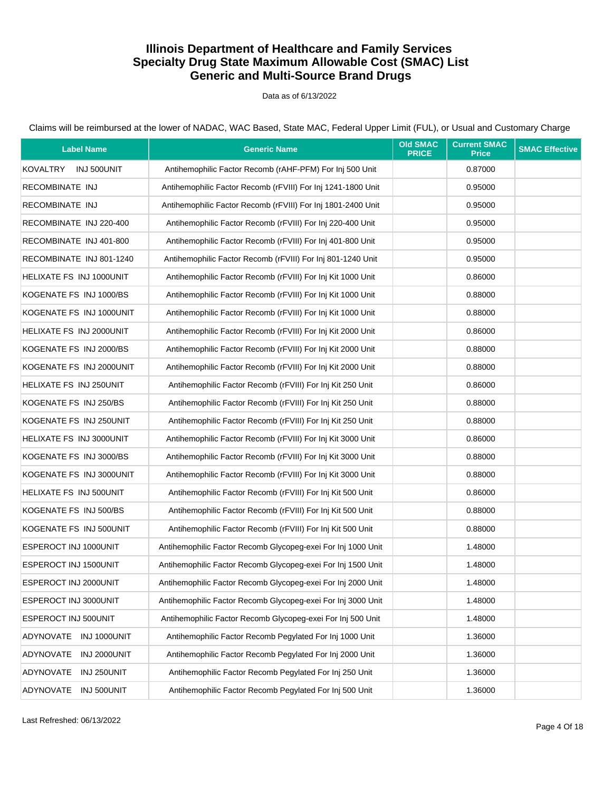#### Data as of 6/13/2022

| <b>Label Name</b>         | <b>Generic Name</b>                                          | <b>Old SMAC</b><br><b>PRICE</b> | <b>Current SMAC</b><br><b>Price</b> | <b>SMAC Effective</b> |
|---------------------------|--------------------------------------------------------------|---------------------------------|-------------------------------------|-----------------------|
| KOVALTRY INJ 500UNIT      | Antihemophilic Factor Recomb (rAHF-PFM) For Inj 500 Unit     |                                 | 0.87000                             |                       |
| RECOMBINATE INJ           | Antihemophilic Factor Recomb (rFVIII) For Inj 1241-1800 Unit |                                 | 0.95000                             |                       |
| RECOMBINATE INJ           | Antihemophilic Factor Recomb (rFVIII) For Inj 1801-2400 Unit |                                 | 0.95000                             |                       |
| RECOMBINATE INJ 220-400   | Antihemophilic Factor Recomb (rFVIII) For Inj 220-400 Unit   |                                 | 0.95000                             |                       |
| RECOMBINATE INJ 401-800   | Antihemophilic Factor Recomb (rFVIII) For Inj 401-800 Unit   |                                 | 0.95000                             |                       |
| RECOMBINATE INJ 801-1240  | Antihemophilic Factor Recomb (rFVIII) For Inj 801-1240 Unit  |                                 | 0.95000                             |                       |
| HELIXATE FS INJ 1000UNIT  | Antihemophilic Factor Recomb (rFVIII) For Inj Kit 1000 Unit  |                                 | 0.86000                             |                       |
| KOGENATE FS INJ 1000/BS   | Antihemophilic Factor Recomb (rFVIII) For Inj Kit 1000 Unit  |                                 | 0.88000                             |                       |
| KOGENATE FS INJ 1000UNIT  | Antihemophilic Factor Recomb (rFVIII) For Inj Kit 1000 Unit  |                                 | 0.88000                             |                       |
| HELIXATE FS INJ 2000UNIT  | Antihemophilic Factor Recomb (rFVIII) For Inj Kit 2000 Unit  |                                 | 0.86000                             |                       |
| KOGENATE FS INJ 2000/BS   | Antihemophilic Factor Recomb (rFVIII) For Inj Kit 2000 Unit  |                                 | 0.88000                             |                       |
| KOGENATE FS INJ 2000UNIT  | Antihemophilic Factor Recomb (rFVIII) For Inj Kit 2000 Unit  |                                 | 0.88000                             |                       |
| HELIXATE FS INJ 250UNIT   | Antihemophilic Factor Recomb (rFVIII) For Inj Kit 250 Unit   |                                 | 0.86000                             |                       |
| KOGENATE FS INJ 250/BS    | Antihemophilic Factor Recomb (rFVIII) For Inj Kit 250 Unit   |                                 | 0.88000                             |                       |
| KOGENATE FS INJ 250UNIT   | Antihemophilic Factor Recomb (rFVIII) For Inj Kit 250 Unit   |                                 | 0.88000                             |                       |
| HELIXATE FS INJ 3000UNIT  | Antihemophilic Factor Recomb (rFVIII) For Inj Kit 3000 Unit  |                                 | 0.86000                             |                       |
| KOGENATE FS INJ 3000/BS   | Antihemophilic Factor Recomb (rFVIII) For Inj Kit 3000 Unit  |                                 | 0.88000                             |                       |
| KOGENATE FS INJ 3000UNIT  | Antihemophilic Factor Recomb (rFVIII) For Inj Kit 3000 Unit  |                                 | 0.88000                             |                       |
| HELIXATE FS INJ 500UNIT   | Antihemophilic Factor Recomb (rFVIII) For Inj Kit 500 Unit   |                                 | 0.86000                             |                       |
| KOGENATE FS INJ 500/BS    | Antihemophilic Factor Recomb (rFVIII) For Inj Kit 500 Unit   |                                 | 0.88000                             |                       |
| KOGENATE FS INJ 500UNIT   | Antihemophilic Factor Recomb (rFVIII) For Inj Kit 500 Unit   |                                 | 0.88000                             |                       |
| ESPEROCT INJ 1000UNIT     | Antihemophilic Factor Recomb Glycopeg-exei For Inj 1000 Unit |                                 | 1.48000                             |                       |
| ESPEROCT INJ 1500UNIT     | Antihemophilic Factor Recomb Glycopeg-exei For Inj 1500 Unit |                                 | 1.48000                             |                       |
| ESPEROCT INJ 2000UNIT     | Antihemophilic Factor Recomb Glycopeg-exei For Inj 2000 Unit |                                 | 1.48000                             |                       |
| ESPEROCT INJ 3000UNIT     | Antihemophilic Factor Recomb Glycopeq-exei For Inj 3000 Unit |                                 | 1.48000                             |                       |
| ESPEROCT INJ 500UNIT      | Antihemophilic Factor Recomb Glycopeg-exei For Inj 500 Unit  |                                 | 1.48000                             |                       |
| INJ 1000UNIT<br>ADYNOVATE | Antihemophilic Factor Recomb Peqylated For Inj 1000 Unit     |                                 | 1.36000                             |                       |
| ADYNOVATE<br>INJ 2000UNIT | Antihemophilic Factor Recomb Pegylated For Inj 2000 Unit     |                                 | 1.36000                             |                       |
| INJ 250UNIT<br>ADYNOVATE  | Antihemophilic Factor Recomb Pegylated For Inj 250 Unit      |                                 | 1.36000                             |                       |
| INJ 500UNIT<br>ADYNOVATE  | Antihemophilic Factor Recomb Pegylated For Inj 500 Unit      |                                 | 1.36000                             |                       |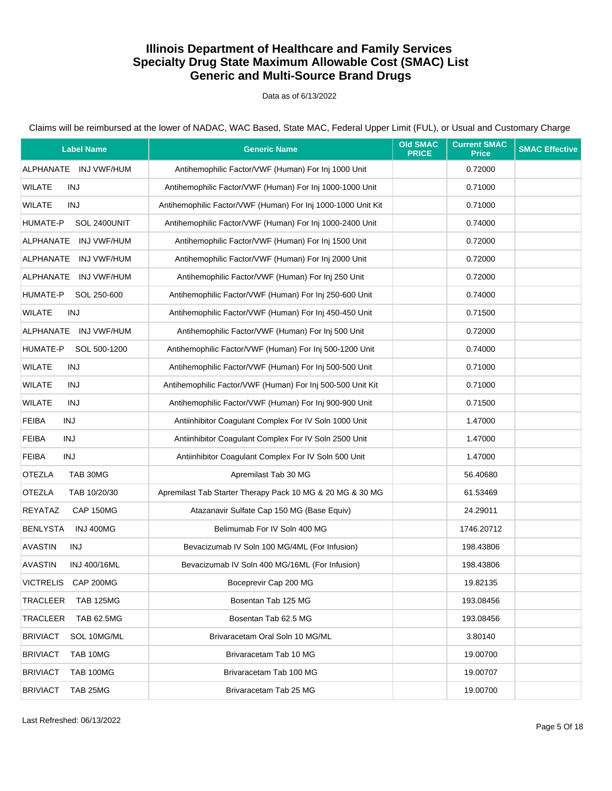#### Data as of 6/13/2022

| <b>Label Name</b>                    | <b>Generic Name</b>                                          | <b>Old SMAC</b><br><b>PRICE</b> | <b>Current SMAC</b><br><b>Price</b> | <b>SMAC Effective</b> |
|--------------------------------------|--------------------------------------------------------------|---------------------------------|-------------------------------------|-----------------------|
| ALPHANATE INJ VWF/HUM                | Antihemophilic Factor/VWF (Human) For Inj 1000 Unit          |                                 | 0.72000                             |                       |
| <b>WILATE</b><br>INJ                 | Antihemophilic Factor/VWF (Human) For Inj 1000-1000 Unit     |                                 | 0.71000                             |                       |
| WILATE<br>INJ                        | Antihemophilic Factor/VWF (Human) For Inj 1000-1000 Unit Kit |                                 | 0.71000                             |                       |
| HUMATE-P<br>SOL 2400UNIT             | Antihemophilic Factor/VWF (Human) For Inj 1000-2400 Unit     |                                 | 0.74000                             |                       |
| ALPHANATE INJ VWF/HUM                | Antihemophilic Factor/VWF (Human) For Inj 1500 Unit          |                                 | 0.72000                             |                       |
| ALPHANATE<br>INJ VWF/HUM             | Antihemophilic Factor/VWF (Human) For Inj 2000 Unit          |                                 | 0.72000                             |                       |
| ALPHANATE INJ VWF/HUM                | Antihemophilic Factor/VWF (Human) For Inj 250 Unit           |                                 | 0.72000                             |                       |
| HUMATE-P<br>SOL 250-600              | Antihemophilic Factor/VWF (Human) For Inj 250-600 Unit       |                                 | 0.74000                             |                       |
| WILATE<br>INJ                        | Antihemophilic Factor/VWF (Human) For Inj 450-450 Unit       |                                 | 0.71500                             |                       |
| ALPHANATE INJ VWF/HUM                | Antihemophilic Factor/VWF (Human) For Inj 500 Unit           |                                 | 0.72000                             |                       |
| HUMATE-P<br>SOL 500-1200             | Antihemophilic Factor/VWF (Human) For Inj 500-1200 Unit      |                                 | 0.74000                             |                       |
| <b>WILATE</b><br>INJ                 | Antihemophilic Factor/VWF (Human) For Inj 500-500 Unit       |                                 | 0.71000                             |                       |
| <b>WILATE</b><br>INJ                 | Antihemophilic Factor/VWF (Human) For Inj 500-500 Unit Kit   |                                 | 0.71000                             |                       |
| <b>WILATE</b><br>INJ                 | Antihemophilic Factor/VWF (Human) For Inj 900-900 Unit       |                                 | 0.71500                             |                       |
| <b>FEIBA</b><br>INJ                  | Antiinhibitor Coagulant Complex For IV Soln 1000 Unit        |                                 | 1.47000                             |                       |
| <b>FEIBA</b><br>INJ                  | Antiinhibitor Coagulant Complex For IV Soln 2500 Unit        |                                 | 1.47000                             |                       |
| <b>FEIBA</b><br>INJ                  | Antiinhibitor Coagulant Complex For IV Soln 500 Unit         |                                 | 1.47000                             |                       |
| <b>OTEZLA</b><br>TAB 30MG            | Apremilast Tab 30 MG                                         |                                 | 56.40680                            |                       |
| <b>OTEZLA</b><br>TAB 10/20/30        | Apremilast Tab Starter Therapy Pack 10 MG & 20 MG & 30 MG    |                                 | 61.53469                            |                       |
| REYATAZ<br>CAP 150MG                 | Atazanavir Sulfate Cap 150 MG (Base Equiv)                   |                                 | 24.29011                            |                       |
| <b>BENLYSTA</b><br><b>INJ 400MG</b>  | Belimumab For IV Soln 400 MG                                 |                                 | 1746.20712                          |                       |
| <b>AVASTIN</b><br>INJ                | Bevacizumab IV Soln 100 MG/4ML (For Infusion)                |                                 | 198.43806                           |                       |
| <b>AVASTIN</b><br>INJ 400/16ML       | Bevacizumab IV Soln 400 MG/16ML (For Infusion)               |                                 | 198.43806                           |                       |
| VICTRELIS CAP 200MG                  | Boceprevir Cap 200 MG                                        |                                 | 19.82135                            |                       |
| TRACLEER<br><b>TAB 125MG</b>         | Bosentan Tab 125 MG                                          |                                 | 193.08456                           |                       |
| <b>TRACLEER</b><br><b>TAB 62.5MG</b> | Bosentan Tab 62.5 MG                                         |                                 | 193.08456                           |                       |
| <b>BRIVIACT</b><br>SOL 10MG/ML       | Brivaracetam Oral Soln 10 MG/ML                              |                                 | 3.80140                             |                       |
| <b>BRIVIACT</b><br>TAB 10MG          | Brivaracetam Tab 10 MG                                       |                                 | 19.00700                            |                       |
| <b>BRIVIACT</b><br><b>TAB 100MG</b>  | Brivaracetam Tab 100 MG                                      |                                 | 19.00707                            |                       |
| <b>BRIVIACT</b><br>TAB 25MG          | Brivaracetam Tab 25 MG                                       |                                 | 19.00700                            |                       |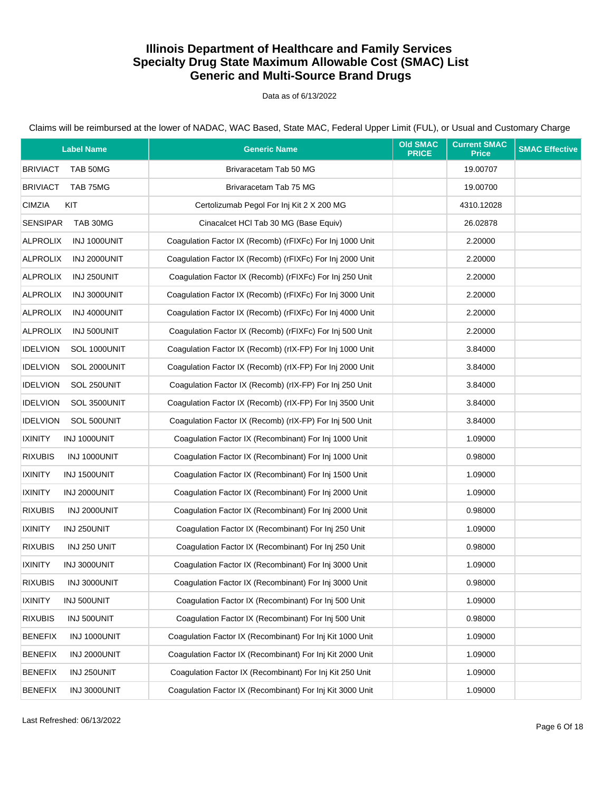Data as of 6/13/2022

| <b>Label Name</b>               | <b>Generic Name</b>                                       | <b>Old SMAC</b><br><b>PRICE</b> | <b>Current SMAC</b><br><b>Price</b> | <b>SMAC Effective</b> |
|---------------------------------|-----------------------------------------------------------|---------------------------------|-------------------------------------|-----------------------|
| <b>BRIVIACT</b><br>TAB 50MG     | Brivaracetam Tab 50 MG                                    |                                 | 19.00707                            |                       |
| <b>BRIVIACT</b><br>TAB 75MG     | Brivaracetam Tab 75 MG                                    |                                 | 19.00700                            |                       |
| KIT<br><b>CIMZIA</b>            | Certolizumab Pegol For Inj Kit 2 X 200 MG                 |                                 | 4310.12028                          |                       |
| <b>SENSIPAR</b><br>TAB 30MG     | Cinacalcet HCl Tab 30 MG (Base Equiv)                     |                                 | 26.02878                            |                       |
| <b>ALPROLIX</b><br>INJ 1000UNIT | Coaqulation Factor IX (Recomb) (rFIXFc) For Inj 1000 Unit |                                 | 2.20000                             |                       |
| <b>ALPROLIX</b><br>INJ 2000UNIT | Coagulation Factor IX (Recomb) (rFIXFc) For Inj 2000 Unit |                                 | 2.20000                             |                       |
| <b>ALPROLIX</b><br>INJ 250UNIT  | Coaqulation Factor IX (Recomb) (rFIXFc) For Inj 250 Unit  |                                 | 2.20000                             |                       |
| <b>ALPROLIX</b><br>INJ 3000UNIT | Coagulation Factor IX (Recomb) (rFIXFc) For Inj 3000 Unit |                                 | 2.20000                             |                       |
| <b>ALPROLIX</b><br>INJ 4000UNIT | Coagulation Factor IX (Recomb) (rFIXFc) For Inj 4000 Unit |                                 | 2.20000                             |                       |
| <b>ALPROLIX</b><br>INJ 500UNIT  | Coagulation Factor IX (Recomb) (rFIXFc) For Inj 500 Unit  |                                 | 2.20000                             |                       |
| <b>IDELVION</b><br>SOL 1000UNIT | Coaqulation Factor IX (Recomb) (rIX-FP) For Inj 1000 Unit |                                 | 3.84000                             |                       |
| <b>IDELVION</b><br>SOL 2000UNIT | Coagulation Factor IX (Recomb) (rIX-FP) For Inj 2000 Unit |                                 | 3.84000                             |                       |
| <b>IDELVION</b><br>SOL 250UNIT  | Coagulation Factor IX (Recomb) (rIX-FP) For Inj 250 Unit  |                                 | 3.84000                             |                       |
| <b>IDELVION</b><br>SOL 3500UNIT | Coaqulation Factor IX (Recomb) (rIX-FP) For Inj 3500 Unit |                                 | 3.84000                             |                       |
| <b>IDELVION</b><br>SOL 500UNIT  | Coaqulation Factor IX (Recomb) (rIX-FP) For Inj 500 Unit  |                                 | 3.84000                             |                       |
| <b>IXINITY</b><br>INJ 1000UNIT  | Coagulation Factor IX (Recombinant) For Inj 1000 Unit     |                                 | 1.09000                             |                       |
| <b>RIXUBIS</b><br>INJ 1000UNIT  | Coagulation Factor IX (Recombinant) For Inj 1000 Unit     |                                 | 0.98000                             |                       |
| <b>IXINITY</b><br>INJ 1500UNIT  | Coagulation Factor IX (Recombinant) For Inj 1500 Unit     |                                 | 1.09000                             |                       |
| <b>IXINITY</b><br>INJ 2000UNIT  | Coagulation Factor IX (Recombinant) For Inj 2000 Unit     |                                 | 1.09000                             |                       |
| <b>RIXUBIS</b><br>INJ 2000UNIT  | Coagulation Factor IX (Recombinant) For Inj 2000 Unit     |                                 | 0.98000                             |                       |
| <b>IXINITY</b><br>INJ 250UNIT   | Coaqulation Factor IX (Recombinant) For Inj 250 Unit      |                                 | 1.09000                             |                       |
| <b>RIXUBIS</b><br>INJ 250 UNIT  | Coaqulation Factor IX (Recombinant) For Inj 250 Unit      |                                 | 0.98000                             |                       |
| <b>IXINITY</b><br>INJ 3000UNIT  | Coaqulation Factor IX (Recombinant) For Inj 3000 Unit     |                                 | 1.09000                             |                       |
| <b>RIXUBIS</b><br>INJ 3000UNIT  | Coagulation Factor IX (Recombinant) For Inj 3000 Unit     |                                 | 0.98000                             |                       |
| <b>IXINITY</b><br>INJ 500UNIT   | Coaqulation Factor IX (Recombinant) For Inj 500 Unit      |                                 | 1.09000                             |                       |
| <b>RIXUBIS</b><br>INJ 500UNIT   | Coagulation Factor IX (Recombinant) For Inj 500 Unit      |                                 | 0.98000                             |                       |
| <b>BENEFIX</b><br>INJ 1000UNIT  | Coaqulation Factor IX (Recombinant) For Inj Kit 1000 Unit |                                 | 1.09000                             |                       |
| <b>BENEFIX</b><br>INJ 2000UNIT  | Coagulation Factor IX (Recombinant) For Inj Kit 2000 Unit |                                 | 1.09000                             |                       |
| <b>BENEFIX</b><br>INJ 250UNIT   | Coagulation Factor IX (Recombinant) For Inj Kit 250 Unit  |                                 | 1.09000                             |                       |
| <b>BENEFIX</b><br>INJ 3000UNIT  | Coaqulation Factor IX (Recombinant) For Inj Kit 3000 Unit |                                 | 1.09000                             |                       |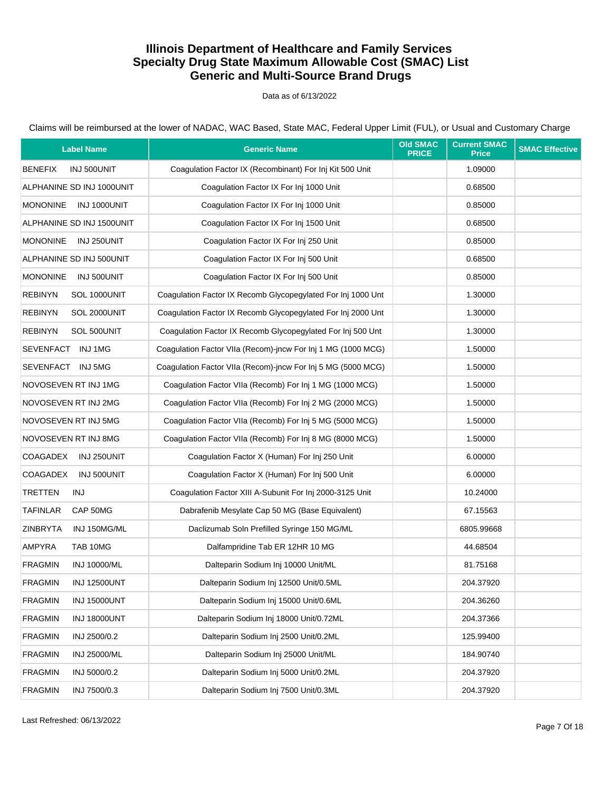Data as of 6/13/2022

| <b>Label Name</b>                     | <b>Generic Name</b>                                          | <b>Old SMAC</b><br><b>PRICE</b> | <b>Current SMAC</b><br><b>Price</b> | <b>SMAC Effective</b> |
|---------------------------------------|--------------------------------------------------------------|---------------------------------|-------------------------------------|-----------------------|
| <b>BENEFIX</b><br>INJ 500UNIT         | Coaqulation Factor IX (Recombinant) For Inj Kit 500 Unit     |                                 | 1.09000                             |                       |
| ALPHANINE SD INJ 1000UNIT             | Coagulation Factor IX For Inj 1000 Unit                      |                                 | 0.68500                             |                       |
| <b>MONONINE</b><br>INJ 1000UNIT       | Coagulation Factor IX For Inj 1000 Unit                      |                                 | 0.85000                             |                       |
| ALPHANINE SD INJ 1500UNIT             | Coagulation Factor IX For Inj 1500 Unit                      |                                 | 0.68500                             |                       |
| <b>MONONINE</b><br>INJ 250UNIT        | Coaqulation Factor IX For Inj 250 Unit                       |                                 | 0.85000                             |                       |
| ALPHANINE SD INJ 500UNIT              | Coagulation Factor IX For Inj 500 Unit                       |                                 | 0.68500                             |                       |
| <b>MONONINE</b><br>INJ 500UNIT        | Coagulation Factor IX For Inj 500 Unit                       |                                 | 0.85000                             |                       |
| <b>REBINYN</b><br>SOL 1000UNIT        | Coagulation Factor IX Recomb Glycopegylated For Inj 1000 Unt |                                 | 1.30000                             |                       |
| <b>REBINYN</b><br>SOL 2000UNIT        | Coagulation Factor IX Recomb Glycopegylated For Inj 2000 Unt |                                 | 1.30000                             |                       |
| <b>REBINYN</b><br>SOL 500UNIT         | Coagulation Factor IX Recomb Glycopegylated For Inj 500 Unt  |                                 | 1.30000                             |                       |
| SEVENFACT INJ1MG                      | Coagulation Factor VIIa (Recom)-jncw For Inj 1 MG (1000 MCG) |                                 | 1.50000                             |                       |
| SEVENFACT INJ 5MG                     | Coagulation Factor VIIa (Recom)-incw For Inj 5 MG (5000 MCG) |                                 | 1.50000                             |                       |
| NOVOSEVEN RT INJ 1MG                  | Coaqulation Factor VIIa (Recomb) For Inj 1 MG (1000 MCG)     |                                 | 1.50000                             |                       |
| NOVOSEVEN RT INJ 2MG                  | Coagulation Factor VIIa (Recomb) For Inj 2 MG (2000 MCG)     |                                 | 1.50000                             |                       |
| NOVOSEVEN RT INJ 5MG                  | Coagulation Factor VIIa (Recomb) For Inj 5 MG (5000 MCG)     |                                 | 1.50000                             |                       |
| NOVOSEVEN RT INJ 8MG                  | Coagulation Factor VIIa (Recomb) For Inj 8 MG (8000 MCG)     |                                 | 1.50000                             |                       |
| COAGADEX<br>INJ 250UNIT               | Coagulation Factor X (Human) For Inj 250 Unit                |                                 | 6.00000                             |                       |
| <b>COAGADEX</b><br>INJ 500UNIT        | Coagulation Factor X (Human) For Inj 500 Unit                |                                 | 6.00000                             |                       |
| <b>TRETTEN</b><br>INJ                 | Coagulation Factor XIII A-Subunit For Inj 2000-3125 Unit     |                                 | 10.24000                            |                       |
| <b>TAFINLAR</b><br>CAP 50MG           | Dabrafenib Mesylate Cap 50 MG (Base Equivalent)              |                                 | 67.15563                            |                       |
| <b>ZINBRYTA</b><br>INJ 150MG/ML       | Daclizumab Soln Prefilled Syringe 150 MG/ML                  |                                 | 6805.99668                          |                       |
| AMPYRA<br>TAB 10MG                    | Dalfampridine Tab ER 12HR 10 MG                              |                                 | 44.68504                            |                       |
| <b>FRAGMIN</b><br>INJ 10000/ML        | Dalteparin Sodium Inj 10000 Unit/ML                          |                                 | 81.75168                            |                       |
| <b>FRAGMIN</b><br><b>INJ 12500UNT</b> | Dalteparin Sodium Inj 12500 Unit/0.5ML                       |                                 | 204.37920                           |                       |
| <b>FRAGMIN</b><br><b>INJ 15000UNT</b> | Dalteparin Sodium Inj 15000 Unit/0.6ML                       |                                 | 204.36260                           |                       |
| <b>FRAGMIN</b><br><b>INJ 18000UNT</b> | Dalteparin Sodium Inj 18000 Unit/0.72ML                      |                                 | 204.37366                           |                       |
| <b>FRAGMIN</b><br>INJ 2500/0.2        | Dalteparin Sodium Inj 2500 Unit/0.2ML                        |                                 | 125.99400                           |                       |
| <b>FRAGMIN</b><br>INJ 25000/ML        | Dalteparin Sodium Inj 25000 Unit/ML                          |                                 | 184.90740                           |                       |
| <b>FRAGMIN</b><br>INJ 5000/0.2        | Dalteparin Sodium Inj 5000 Unit/0.2ML                        |                                 | 204.37920                           |                       |
| <b>FRAGMIN</b><br>INJ 7500/0.3        | Dalteparin Sodium Inj 7500 Unit/0.3ML                        |                                 | 204.37920                           |                       |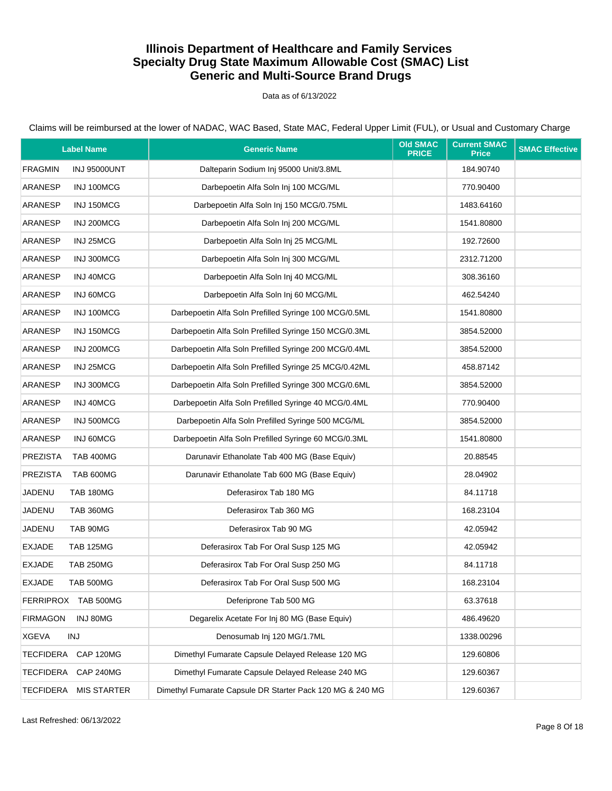Data as of 6/13/2022

| <b>Label Name</b>                      | <b>Generic Name</b>                                       | <b>Old SMAC</b><br><b>PRICE</b> | <b>Current SMAC</b><br><b>Price</b> | <b>SMAC Effective</b> |
|----------------------------------------|-----------------------------------------------------------|---------------------------------|-------------------------------------|-----------------------|
| <b>FRAGMIN</b><br><b>INJ 95000UNT</b>  | Dalteparin Sodium Inj 95000 Unit/3.8ML                    |                                 | 184.90740                           |                       |
| ARANESP<br>INJ 100MCG                  | Darbepoetin Alfa Soln Inj 100 MCG/ML                      |                                 | 770.90400                           |                       |
| INJ 150MCG<br>ARANESP                  | Darbepoetin Alfa Soln Inj 150 MCG/0.75ML                  |                                 | 1483.64160                          |                       |
| ARANESP<br>INJ 200MCG                  | Darbepoetin Alfa Soln Inj 200 MCG/ML                      |                                 | 1541.80800                          |                       |
| INJ 25MCG<br>ARANESP                   | Darbepoetin Alfa Soln Inj 25 MCG/ML                       |                                 | 192.72600                           |                       |
| ARANESP<br>INJ 300MCG                  | Darbepoetin Alfa Soln Inj 300 MCG/ML                      |                                 | 2312.71200                          |                       |
| INJ 40MCG<br><b>ARANESP</b>            | Darbepoetin Alfa Soln Inj 40 MCG/ML                       |                                 | 308.36160                           |                       |
| ARANESP<br>INJ 60MCG                   | Darbepoetin Alfa Soln Inj 60 MCG/ML                       |                                 | 462.54240                           |                       |
| INJ 100MCG<br>ARANESP                  | Darbepoetin Alfa Soln Prefilled Syringe 100 MCG/0.5ML     |                                 | 1541.80800                          |                       |
| INJ 150MCG<br>ARANESP                  | Darbepoetin Alfa Soln Prefilled Syringe 150 MCG/0.3ML     |                                 | 3854.52000                          |                       |
| ARANESP<br>INJ 200MCG                  | Darbepoetin Alfa Soln Prefilled Syringe 200 MCG/0.4ML     |                                 | 3854.52000                          |                       |
| INJ 25MCG<br>ARANESP                   | Darbepoetin Alfa Soln Prefilled Syringe 25 MCG/0.42ML     |                                 | 458.87142                           |                       |
| INJ 300MCG<br><b>ARANESP</b>           | Darbepoetin Alfa Soln Prefilled Syringe 300 MCG/0.6ML     |                                 | 3854.52000                          |                       |
| ARANESP<br>INJ 40MCG                   | Darbepoetin Alfa Soln Prefilled Syringe 40 MCG/0.4ML      |                                 | 770.90400                           |                       |
| INJ 500MCG<br>ARANESP                  | Darbepoetin Alfa Soln Prefilled Syringe 500 MCG/ML        |                                 | 3854.52000                          |                       |
| ARANESP<br>INJ 60MCG                   | Darbepoetin Alfa Soln Prefilled Syringe 60 MCG/0.3ML      |                                 | 1541.80800                          |                       |
| <b>PREZISTA</b><br><b>TAB 400MG</b>    | Darunavir Ethanolate Tab 400 MG (Base Equiv)              |                                 | 20.88545                            |                       |
| <b>PREZISTA</b><br>TAB 600MG           | Darunavir Ethanolate Tab 600 MG (Base Equiv)              |                                 | 28.04902                            |                       |
| JADENU<br><b>TAB 180MG</b>             | Deferasirox Tab 180 MG                                    |                                 | 84.11718                            |                       |
| JADENU<br>TAB 360MG                    | Deferasirox Tab 360 MG                                    |                                 | 168.23104                           |                       |
| JADENU<br>TAB 90MG                     | Deferasirox Tab 90 MG                                     |                                 | 42.05942                            |                       |
| <b>EXJADE</b><br><b>TAB 125MG</b>      | Deferasirox Tab For Oral Susp 125 MG                      |                                 | 42.05942                            |                       |
| <b>EXJADE</b><br><b>TAB 250MG</b>      | Deferasirox Tab For Oral Susp 250 MG                      |                                 | 84.11718                            |                       |
| <b>EXJADE</b><br>TAB 500MG             | Deferasirox Tab For Oral Susp 500 MG                      |                                 | 168.23104                           |                       |
| <b>FERRIPROX</b><br><b>TAB 500MG</b>   | Deferiprone Tab 500 MG                                    |                                 | 63.37618                            |                       |
| INJ 80MG<br><b>FIRMAGON</b>            | Degarelix Acetate For Inj 80 MG (Base Equiv)              |                                 | 486.49620                           |                       |
| <b>XGEVA</b><br><b>INJ</b>             | Denosumab Inj 120 MG/1.7ML                                |                                 | 1338.00296                          |                       |
| <b>TECFIDERA</b><br>CAP 120MG          | Dimethyl Fumarate Capsule Delayed Release 120 MG          |                                 | 129.60806                           |                       |
| <b>TECFIDERA</b><br>CAP 240MG          | Dimethyl Fumarate Capsule Delayed Release 240 MG          |                                 | 129.60367                           |                       |
| <b>TECFIDERA</b><br><b>MIS STARTER</b> | Dimethyl Fumarate Capsule DR Starter Pack 120 MG & 240 MG |                                 | 129.60367                           |                       |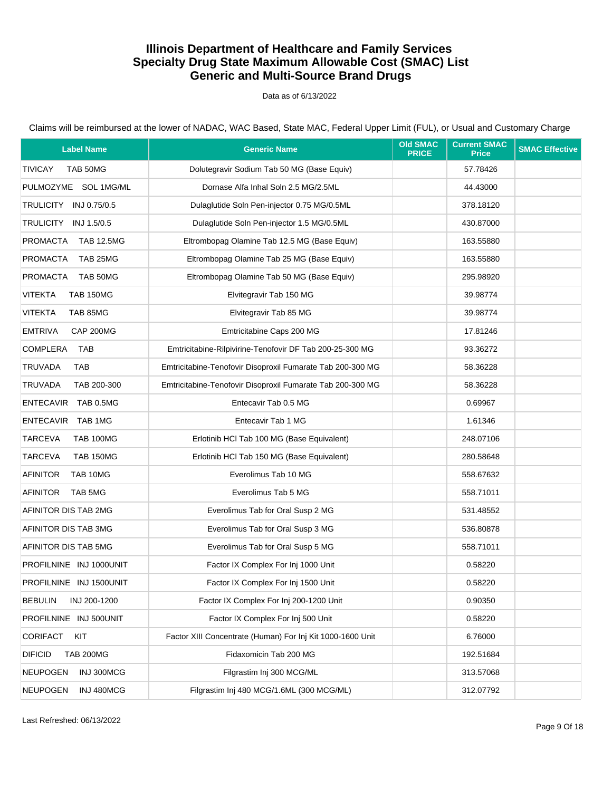Data as of 6/13/2022

Claims will be reimbursed at the lower of NADAC, WAC Based, State MAC, Federal Upper Limit (FUL), or Usual and Customary Charge

| <b>Label Name</b>                  | <b>Generic Name</b>                                        | <b>Old SMAC</b><br><b>PRICE</b> | <b>Current SMAC</b><br><b>Price</b> | <b>SMAC Effective</b> |
|------------------------------------|------------------------------------------------------------|---------------------------------|-------------------------------------|-----------------------|
| <b>TIVICAY</b><br>TAB 50MG         | Dolutegravir Sodium Tab 50 MG (Base Equiv)                 |                                 | 57.78426                            |                       |
| PULMOZYME SOL 1MG/ML               | Dornase Alfa Inhal Soln 2.5 MG/2.5ML                       |                                 | 44.43000                            |                       |
| TRULICITY INJ 0.75/0.5             | Dulaglutide Soln Pen-injector 0.75 MG/0.5ML                |                                 | 378.18120                           |                       |
| TRULICITY INJ 1.5/0.5              | Dulaglutide Soln Pen-injector 1.5 MG/0.5ML                 |                                 | 430.87000                           |                       |
| PROMACTA<br><b>TAB 12.5MG</b>      | Eltrombopag Olamine Tab 12.5 MG (Base Equiv)               |                                 | 163.55880                           |                       |
| PROMACTA<br>TAB 25MG               | Eltrombopag Olamine Tab 25 MG (Base Equiv)                 |                                 | 163.55880                           |                       |
| <b>PROMACTA</b><br>TAB 50MG        | Eltrombopag Olamine Tab 50 MG (Base Equiv)                 |                                 | 295.98920                           |                       |
| <b>VITEKTA</b><br><b>TAB 150MG</b> | Elvitegravir Tab 150 MG                                    |                                 | 39.98774                            |                       |
| VITEKTA<br>TAB 85MG                | Elvitegravir Tab 85 MG                                     |                                 | 39.98774                            |                       |
| <b>EMTRIVA</b><br>CAP 200MG        | Emtricitabine Caps 200 MG                                  |                                 | 17.81246                            |                       |
| COMPLERA<br>TAB                    | Emtricitabine-Rilpivirine-Tenofovir DF Tab 200-25-300 MG   |                                 | 93.36272                            |                       |
| <b>TRUVADA</b><br><b>TAB</b>       | Emtricitabine-Tenofovir Disoproxil Fumarate Tab 200-300 MG |                                 | 58.36228                            |                       |
| <b>TRUVADA</b><br>TAB 200-300      | Emtricitabine-Tenofovir Disoproxil Fumarate Tab 200-300 MG |                                 | 58.36228                            |                       |
| ENTECAVIR TAB 0.5MG                | Entecavir Tab 0.5 MG                                       |                                 | 0.69967                             |                       |
| ENTECAVIR TAB 1MG                  | Entecavir Tab 1 MG                                         |                                 | 1.61346                             |                       |
| <b>TARCEVA</b><br><b>TAB 100MG</b> | Erlotinib HCl Tab 100 MG (Base Equivalent)                 |                                 | 248.07106                           |                       |
| <b>TAB 150MG</b><br>TARCEVA        | Erlotinib HCl Tab 150 MG (Base Equivalent)                 |                                 | 280.58648                           |                       |
| <b>AFINITOR</b><br>TAB 10MG        | Everolimus Tab 10 MG                                       |                                 | 558.67632                           |                       |
| AFINITOR<br>TAB 5MG                | Everolimus Tab 5 MG                                        |                                 | 558.71011                           |                       |
| AFINITOR DIS TAB 2MG               | Everolimus Tab for Oral Susp 2 MG                          |                                 | 531.48552                           |                       |
| AFINITOR DIS TAB 3MG               | Everolimus Tab for Oral Susp 3 MG                          |                                 | 536.80878                           |                       |
| AFINITOR DIS TAB 5MG               | Everolimus Tab for Oral Susp 5 MG                          |                                 | 558.71011                           |                       |
| PROFILNINE INJ 1000UNIT            | Factor IX Complex For Inj 1000 Unit                        |                                 | 0.58220                             |                       |
| PROFILNINE INJ 1500UNIT            | Factor IX Complex For Inj 1500 Unit                        |                                 | 0.58220                             |                       |
| <b>BEBULIN</b><br>INJ 200-1200     | Factor IX Complex For Inj 200-1200 Unit                    |                                 | 0.90350                             |                       |
| PROFILNINE INJ 500UNIT             | Factor IX Complex For Inj 500 Unit                         |                                 | 0.58220                             |                       |
| <b>CORIFACT</b><br>KIT             | Factor XIII Concentrate (Human) For Inj Kit 1000-1600 Unit |                                 | 6.76000                             |                       |
| <b>DIFICID</b><br><b>TAB 200MG</b> | Fidaxomicin Tab 200 MG                                     |                                 | 192.51684                           |                       |
| <b>NEUPOGEN</b><br>INJ 300MCG      | Filgrastim Inj 300 MCG/ML                                  |                                 | 313.57068                           |                       |
| INJ 480MCG<br><b>NEUPOGEN</b>      | Filgrastim Inj 480 MCG/1.6ML (300 MCG/ML)                  |                                 | 312.07792                           |                       |

Last Refreshed: 06/13/2022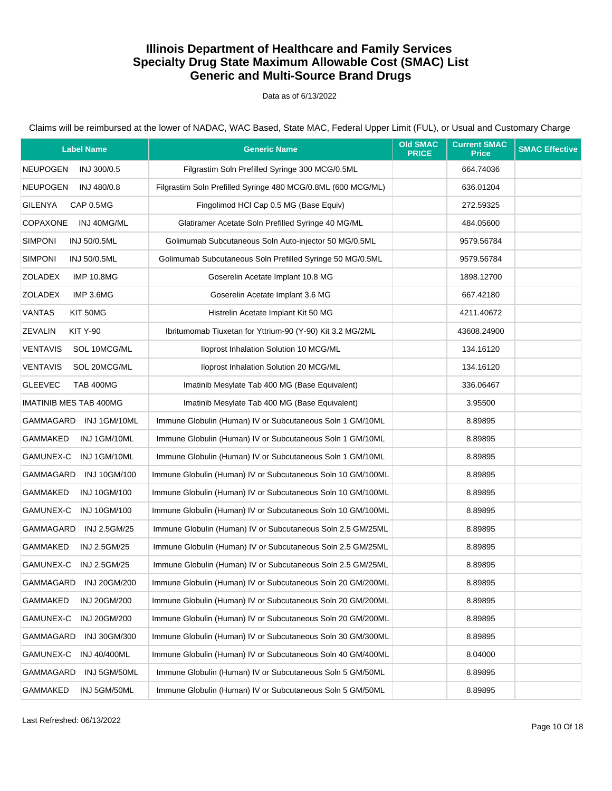Data as of 6/13/2022

| <b>Label Name</b>                  | <b>Generic Name</b>                                          | <b>Old SMAC</b><br><b>PRICE</b> | <b>Current SMAC</b><br><b>Price</b> | <b>SMAC Effective</b> |
|------------------------------------|--------------------------------------------------------------|---------------------------------|-------------------------------------|-----------------------|
| <b>NEUPOGEN</b><br>INJ 300/0.5     | Filgrastim Soln Prefilled Syringe 300 MCG/0.5ML              |                                 | 664.74036                           |                       |
| <b>NEUPOGEN</b><br>INJ 480/0.8     | Filgrastim Soln Prefilled Syringe 480 MCG/0.8ML (600 MCG/ML) |                                 | 636.01204                           |                       |
| <b>GILENYA</b><br>CAP 0.5MG        | Fingolimod HCl Cap 0.5 MG (Base Equiv)                       |                                 | 272.59325                           |                       |
| <b>COPAXONE</b><br>INJ 40MG/ML     | Glatiramer Acetate Soln Prefilled Syringe 40 MG/ML           |                                 | 484.05600                           |                       |
| <b>SIMPONI</b><br>INJ 50/0.5ML     | Golimumab Subcutaneous Soln Auto-injector 50 MG/0.5ML        |                                 | 9579.56784                          |                       |
| <b>SIMPONI</b><br>INJ 50/0.5ML     | Golimumab Subcutaneous Soln Prefilled Syringe 50 MG/0.5ML    |                                 | 9579.56784                          |                       |
| ZOLADEX<br><b>IMP 10.8MG</b>       | Goserelin Acetate Implant 10.8 MG                            |                                 | 1898.12700                          |                       |
| <b>ZOLADEX</b><br>IMP 3.6MG        | Goserelin Acetate Implant 3.6 MG                             |                                 | 667.42180                           |                       |
| <b>VANTAS</b><br>KIT 50MG          | Histrelin Acetate Implant Kit 50 MG                          |                                 | 4211.40672                          |                       |
| <b>ZEVALIN</b><br><b>KIT Y-90</b>  | Ibritumomab Tiuxetan for Yttrium-90 (Y-90) Kit 3.2 MG/2ML    |                                 | 43608.24900                         |                       |
| <b>VENTAVIS</b><br>SOL 10MCG/ML    | Iloprost Inhalation Solution 10 MCG/ML                       |                                 | 134.16120                           |                       |
| <b>VENTAVIS</b><br>SOL 20MCG/ML    | Iloprost Inhalation Solution 20 MCG/ML                       |                                 | 134.16120                           |                       |
| <b>GLEEVEC</b><br><b>TAB 400MG</b> | Imatinib Mesylate Tab 400 MG (Base Equivalent)               |                                 | 336.06467                           |                       |
| <b>IMATINIB MES TAB 400MG</b>      | Imatinib Mesylate Tab 400 MG (Base Equivalent)               |                                 | 3.95500                             |                       |
| GAMMAGARD INJ1GM/10ML              | Immune Globulin (Human) IV or Subcutaneous Soln 1 GM/10ML    |                                 | 8.89895                             |                       |
| GAMMAKED<br>INJ 1GM/10ML           | Immune Globulin (Human) IV or Subcutaneous Soln 1 GM/10ML    |                                 | 8.89895                             |                       |
| GAMUNEX-C INJ 1GM/10ML             | Immune Globulin (Human) IV or Subcutaneous Soln 1 GM/10ML    |                                 | 8.89895                             |                       |
| GAMMAGARD<br><b>INJ 10GM/100</b>   | Immune Globulin (Human) IV or Subcutaneous Soln 10 GM/100ML  |                                 | 8.89895                             |                       |
| GAMMAKED<br>INJ 10GM/100           | Immune Globulin (Human) IV or Subcutaneous Soln 10 GM/100ML  |                                 | 8.89895                             |                       |
| GAMUNEX-C<br>INJ 10GM/100          | Immune Globulin (Human) IV or Subcutaneous Soln 10 GM/100ML  |                                 | 8.89895                             |                       |
| GAMMAGARD INJ 2.5GM/25             | Immune Globulin (Human) IV or Subcutaneous Soln 2.5 GM/25ML  |                                 | 8.89895                             |                       |
| GAMMAKED<br>INJ 2.5GM/25           | Immune Globulin (Human) IV or Subcutaneous Soln 2.5 GM/25ML  |                                 | 8.89895                             |                       |
| GAMUNEX-C INJ 2.5GM/25             | Immune Globulin (Human) IV or Subcutaneous Soln 2.5 GM/25ML  |                                 | 8.89895                             |                       |
| GAMMAGARD INJ 20GM/200             | Immune Globulin (Human) IV or Subcutaneous Soln 20 GM/200ML  |                                 | 8.89895                             |                       |
| <b>GAMMAKED</b><br>INJ 20GM/200    | Immune Globulin (Human) IV or Subcutaneous Soln 20 GM/200ML  |                                 | 8.89895                             |                       |
| GAMUNEX-C<br>INJ 20GM/200          | Immune Globulin (Human) IV or Subcutaneous Soln 20 GM/200ML  |                                 | 8.89895                             |                       |
| GAMMAGARD<br>INJ 30GM/300          | Immune Globulin (Human) IV or Subcutaneous Soln 30 GM/300ML  |                                 | 8.89895                             |                       |
| GAMUNEX-C<br><b>INJ 40/400ML</b>   | Immune Globulin (Human) IV or Subcutaneous Soln 40 GM/400ML  |                                 | 8.04000                             |                       |
| GAMMAGARD<br>INJ 5GM/50ML          | Immune Globulin (Human) IV or Subcutaneous Soln 5 GM/50ML    |                                 | 8.89895                             |                       |
| GAMMAKED<br>INJ 5GM/50ML           | Immune Globulin (Human) IV or Subcutaneous Soln 5 GM/50ML    |                                 | 8.89895                             |                       |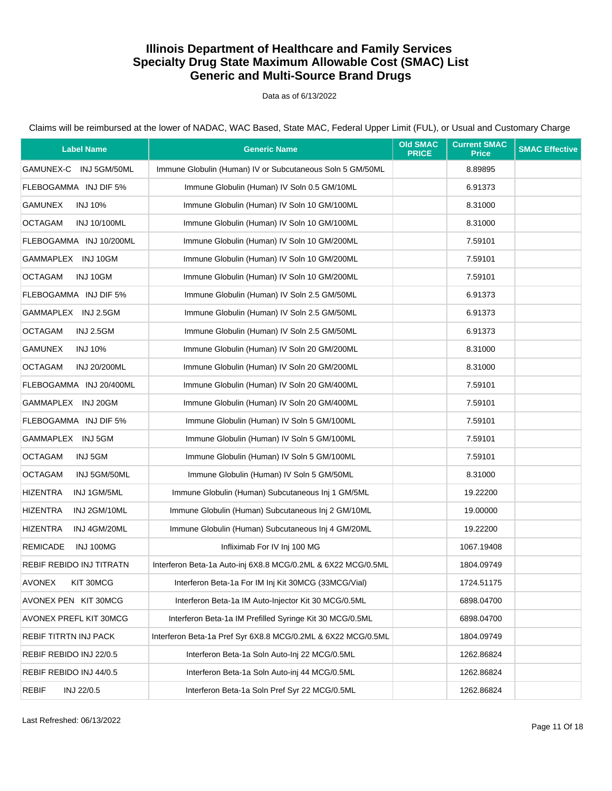#### Data as of 6/13/2022

Claims will be reimbursed at the lower of NADAC, WAC Based, State MAC, Federal Upper Limit (FUL), or Usual and Customary Charge

| <b>Label Name</b>                     | <b>Generic Name</b>                                          | <b>Old SMAC</b><br><b>PRICE</b> | <b>Current SMAC</b><br><b>Price</b> | <b>SMAC Effective</b> |
|---------------------------------------|--------------------------------------------------------------|---------------------------------|-------------------------------------|-----------------------|
| GAMUNEX-C INJ 5GM/50ML                | Immune Globulin (Human) IV or Subcutaneous Soln 5 GM/50ML    |                                 | 8.89895                             |                       |
| FLEBOGAMMA INJ DIF 5%                 | Immune Globulin (Human) IV Soln 0.5 GM/10ML                  |                                 | 6.91373                             |                       |
| <b>GAMUNEX</b><br><b>INJ 10%</b>      | Immune Globulin (Human) IV Soln 10 GM/100ML                  |                                 | 8.31000                             |                       |
| <b>OCTAGAM</b><br>INJ 10/100ML        | Immune Globulin (Human) IV Soln 10 GM/100ML                  |                                 | 8.31000                             |                       |
| FLEBOGAMMA INJ 10/200ML               | Immune Globulin (Human) IV Soln 10 GM/200ML                  |                                 | 7.59101                             |                       |
| GAMMAPLEX INJ 10GM                    | Immune Globulin (Human) IV Soln 10 GM/200ML                  |                                 | 7.59101                             |                       |
| <b>OCTAGAM</b><br>INJ 10GM            | Immune Globulin (Human) IV Soln 10 GM/200ML                  |                                 | 7.59101                             |                       |
| FLEBOGAMMA INJ DIF 5%                 | Immune Globulin (Human) IV Soln 2.5 GM/50ML                  |                                 | 6.91373                             |                       |
| GAMMAPLEX INJ 2.5GM                   | Immune Globulin (Human) IV Soln 2.5 GM/50ML                  |                                 | 6.91373                             |                       |
| <b>OCTAGAM</b><br><b>INJ 2.5GM</b>    | Immune Globulin (Human) IV Soln 2.5 GM/50ML                  |                                 | 6.91373                             |                       |
| <b>GAMUNEX</b><br><b>INJ 10%</b>      | Immune Globulin (Human) IV Soln 20 GM/200ML                  |                                 | 8.31000                             |                       |
| <b>OCTAGAM</b><br><b>INJ 20/200ML</b> | Immune Globulin (Human) IV Soln 20 GM/200ML                  |                                 | 8.31000                             |                       |
| FLEBOGAMMA INJ 20/400ML               | Immune Globulin (Human) IV Soln 20 GM/400ML                  |                                 | 7.59101                             |                       |
| GAMMAPLEX INJ 20GM                    | Immune Globulin (Human) IV Soln 20 GM/400ML                  |                                 | 7.59101                             |                       |
| FLEBOGAMMA INJ DIF 5%                 | Immune Globulin (Human) IV Soln 5 GM/100ML                   |                                 | 7.59101                             |                       |
| GAMMAPLEX INJ 5GM                     | Immune Globulin (Human) IV Soln 5 GM/100ML                   |                                 | 7.59101                             |                       |
| <b>OCTAGAM</b><br>INJ 5GM             | Immune Globulin (Human) IV Soln 5 GM/100ML                   |                                 | 7.59101                             |                       |
| <b>OCTAGAM</b><br>INJ 5GM/50ML        | Immune Globulin (Human) IV Soln 5 GM/50ML                    |                                 | 8.31000                             |                       |
| <b>HIZENTRA</b><br>INJ 1GM/5ML        | Immune Globulin (Human) Subcutaneous Inj 1 GM/5ML            |                                 | 19.22200                            |                       |
| <b>HIZENTRA</b><br>INJ 2GM/10ML       | Immune Globulin (Human) Subcutaneous Inj 2 GM/10ML           |                                 | 19.00000                            |                       |
| <b>HIZENTRA</b><br>INJ 4GM/20ML       | Immune Globulin (Human) Subcutaneous Inj 4 GM/20ML           |                                 | 19.22200                            |                       |
| <b>REMICADE</b><br>INJ 100MG          | Infliximab For IV Inj 100 MG                                 |                                 | 1067.19408                          |                       |
| REBIF REBIDO INJ TITRATN              | Interferon Beta-1a Auto-inj 6X8.8 MCG/0.2ML & 6X22 MCG/0.5ML |                                 | 1804.09749                          |                       |
| AVONEX<br>KIT 30MCG                   | Interferon Beta-1a For IM Inj Kit 30MCG (33MCG/Vial)         |                                 | 1724.51175                          |                       |
| AVONEX PEN KIT 30MCG                  | Interferon Beta-1a IM Auto-Injector Kit 30 MCG/0.5ML         |                                 | 6898.04700                          |                       |
| AVONEX PREFL KIT 30MCG                | Interferon Beta-1a IM Prefilled Syringe Kit 30 MCG/0.5ML     |                                 | 6898.04700                          |                       |
| REBIF TITRTN INJ PACK                 | Interferon Beta-1a Pref Syr 6X8.8 MCG/0.2ML & 6X22 MCG/0.5ML |                                 | 1804.09749                          |                       |
| REBIF REBIDO INJ 22/0.5               | Interferon Beta-1a Soln Auto-Inj 22 MCG/0.5ML                |                                 | 1262.86824                          |                       |
| REBIF REBIDO INJ 44/0.5               | Interferon Beta-1a Soln Auto-inj 44 MCG/0.5ML                |                                 | 1262.86824                          |                       |
| <b>REBIF</b><br>INJ 22/0.5            | Interferon Beta-1a Soln Pref Syr 22 MCG/0.5ML                |                                 | 1262.86824                          |                       |

Last Refreshed: 06/13/2022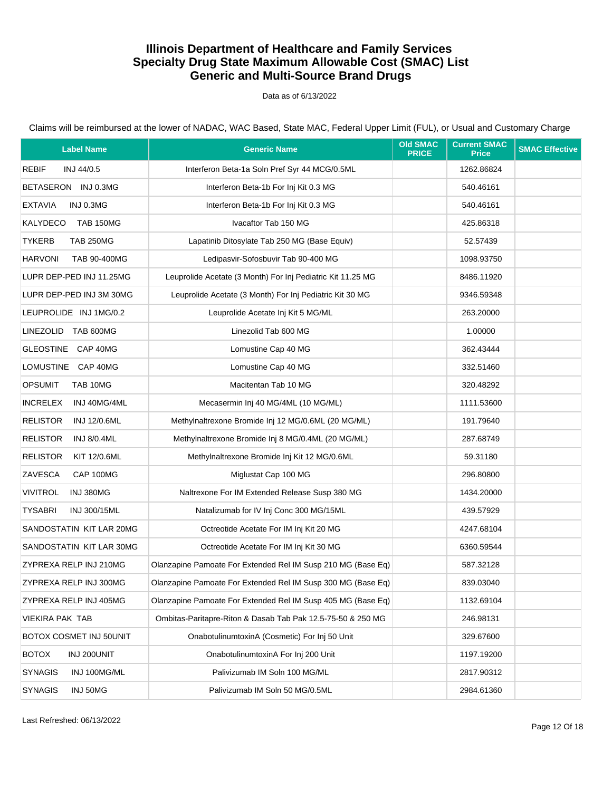Data as of 6/13/2022

| <b>Label Name</b>                      | <b>Generic Name</b>                                          | <b>Old SMAC</b><br><b>PRICE</b> | <b>Current SMAC</b><br><b>Price</b> | <b>SMAC Effective</b> |
|----------------------------------------|--------------------------------------------------------------|---------------------------------|-------------------------------------|-----------------------|
| REBIF<br>INJ 44/0.5                    | Interferon Beta-1a Soln Pref Syr 44 MCG/0.5ML                |                                 | 1262.86824                          |                       |
| BETASERON INJ 0.3MG                    | Interferon Beta-1b For Inj Kit 0.3 MG                        |                                 | 540.46161                           |                       |
| <b>EXTAVIA</b><br>INJ 0.3MG            | Interferon Beta-1b For Inj Kit 0.3 MG                        |                                 | 540.46161                           |                       |
| KALYDECO<br><b>TAB 150MG</b>           | Ivacaftor Tab 150 MG                                         |                                 | 425.86318                           |                       |
| <b>TYKERB</b><br><b>TAB 250MG</b>      | Lapatinib Ditosylate Tab 250 MG (Base Equiv)                 |                                 | 52.57439                            |                       |
| <b>HARVONI</b><br>TAB 90-400MG         | Ledipasvir-Sofosbuvir Tab 90-400 MG                          |                                 | 1098.93750                          |                       |
| LUPR DEP-PED INJ 11.25MG               | Leuprolide Acetate (3 Month) For Inj Pediatric Kit 11.25 MG  |                                 | 8486.11920                          |                       |
| LUPR DEP-PED INJ 3M 30MG               | Leuprolide Acetate (3 Month) For Inj Pediatric Kit 30 MG     |                                 | 9346.59348                          |                       |
| LEUPROLIDE INJ 1MG/0.2                 | Leuprolide Acetate Inj Kit 5 MG/ML                           |                                 | 263.20000                           |                       |
| LINEZOLID TAB 600MG                    | Linezolid Tab 600 MG                                         |                                 | 1.00000                             |                       |
| GLEOSTINE CAP 40MG                     | Lomustine Cap 40 MG                                          |                                 | 362.43444                           |                       |
| LOMUSTINE CAP 40MG                     | Lomustine Cap 40 MG                                          |                                 | 332.51460                           |                       |
| <b>OPSUMIT</b><br>TAB 10MG             | Macitentan Tab 10 MG                                         |                                 | 320.48292                           |                       |
| <b>INCRELEX</b><br>INJ 40MG/4ML        | Mecasermin Inj 40 MG/4ML (10 MG/ML)                          |                                 | 1111.53600                          |                       |
| <b>RELISTOR</b><br><b>INJ 12/0.6ML</b> | Methylnaltrexone Bromide Inj 12 MG/0.6ML (20 MG/ML)          |                                 | 191.79640                           |                       |
| <b>RELISTOR</b><br><b>INJ 8/0.4ML</b>  | Methylnaltrexone Bromide Inj 8 MG/0.4ML (20 MG/ML)           |                                 | 287.68749                           |                       |
| <b>RELISTOR</b><br>KIT 12/0.6ML        | Methylnaltrexone Bromide Inj Kit 12 MG/0.6ML                 |                                 | 59.31180                            |                       |
| ZAVESCA<br>CAP 100MG                   | Miglustat Cap 100 MG                                         |                                 | 296.80800                           |                       |
| <b>VIVITROL</b><br>INJ 380MG           | Naltrexone For IM Extended Release Susp 380 MG               |                                 | 1434.20000                          |                       |
| <b>TYSABRI</b><br>INJ 300/15ML         | Natalizumab for IV Inj Conc 300 MG/15ML                      |                                 | 439.57929                           |                       |
| SANDOSTATIN KIT LAR 20MG               | Octreotide Acetate For IM Inj Kit 20 MG                      |                                 | 4247.68104                          |                       |
| SANDOSTATIN KIT LAR 30MG               | Octreotide Acetate For IM Inj Kit 30 MG                      |                                 | 6360.59544                          |                       |
| ZYPREXA RELP INJ 210MG                 | Olanzapine Pamoate For Extended Rel IM Susp 210 MG (Base Eq) |                                 | 587.32128                           |                       |
| ZYPREXA RELP INJ 300MG                 | Olanzapine Pamoate For Extended Rel IM Susp 300 MG (Base Eq) |                                 | 839.03040                           |                       |
| ZYPREXA RELP INJ 405MG                 | Olanzapine Pamoate For Extended Rel IM Susp 405 MG (Base Eq) |                                 | 1132.69104                          |                       |
| <b>VIEKIRA PAK TAB</b>                 | Ombitas-Paritapre-Riton & Dasab Tab Pak 12.5-75-50 & 250 MG  |                                 | 246.98131                           |                       |
| BOTOX COSMET INJ 50UNIT                | OnabotulinumtoxinA (Cosmetic) For Inj 50 Unit                |                                 | 329.67600                           |                       |
| <b>BOTOX</b><br>INJ 200UNIT            | OnabotulinumtoxinA For Inj 200 Unit                          |                                 | 1197.19200                          |                       |
| <b>SYNAGIS</b><br>INJ 100MG/ML         | Palivizumab IM Soln 100 MG/ML                                |                                 | 2817.90312                          |                       |
| <b>SYNAGIS</b><br>INJ 50MG             | Palivizumab IM Soln 50 MG/0.5ML                              |                                 | 2984.61360                          |                       |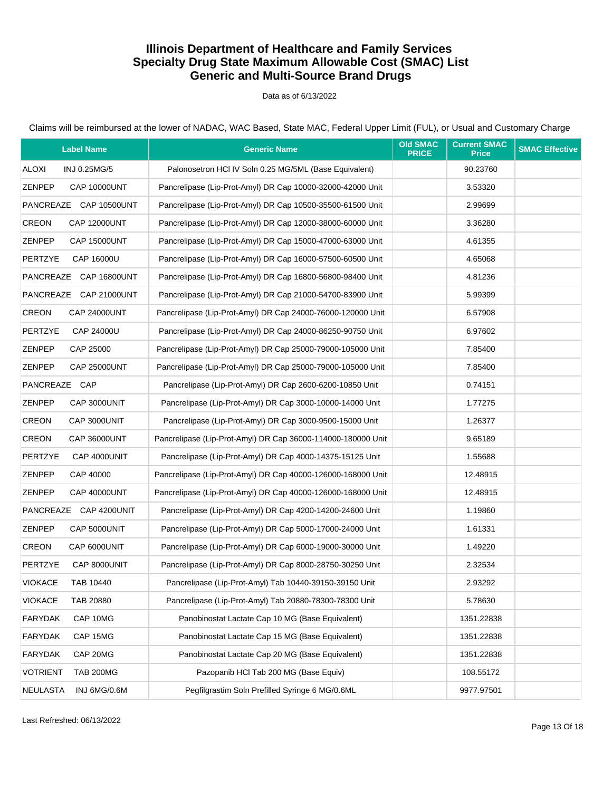#### Data as of 6/13/2022

| <b>Label Name</b>                    | <b>Generic Name</b>                                          | <b>Old SMAC</b><br><b>PRICE</b> | <b>Current SMAC</b><br><b>Price</b> | <b>SMAC Effective</b> |
|--------------------------------------|--------------------------------------------------------------|---------------------------------|-------------------------------------|-----------------------|
| <b>ALOXI</b><br>INJ 0.25MG/5         | Palonosetron HCI IV Soln 0.25 MG/5ML (Base Equivalent)       |                                 | 90.23760                            |                       |
| ZENPEP<br><b>CAP 10000UNT</b>        | Pancrelipase (Lip-Prot-Amyl) DR Cap 10000-32000-42000 Unit   |                                 | 3.53320                             |                       |
| PANCREAZE CAP 10500UNT               | Pancrelipase (Lip-Prot-Amyl) DR Cap 10500-35500-61500 Unit   |                                 | 2.99699                             |                       |
| <b>CREON</b><br><b>CAP 12000UNT</b>  | Pancrelipase (Lip-Prot-Amyl) DR Cap 12000-38000-60000 Unit   |                                 | 3.36280                             |                       |
| ZENPEP<br><b>CAP 15000UNT</b>        | Pancrelipase (Lip-Prot-Amyl) DR Cap 15000-47000-63000 Unit   |                                 | 4.61355                             |                       |
| <b>PERTZYE</b><br>CAP 16000U         | Pancrelipase (Lip-Prot-Amyl) DR Cap 16000-57500-60500 Unit   |                                 | 4.65068                             |                       |
| PANCREAZE CAP 16800UNT               | Pancrelipase (Lip-Prot-Amyl) DR Cap 16800-56800-98400 Unit   |                                 | 4.81236                             |                       |
| PANCREAZE CAP 21000UNT               | Pancrelipase (Lip-Prot-Amyl) DR Cap 21000-54700-83900 Unit   |                                 | 5.99399                             |                       |
| <b>CREON</b><br><b>CAP 24000UNT</b>  | Pancrelipase (Lip-Prot-Amyl) DR Cap 24000-76000-120000 Unit  |                                 | 6.57908                             |                       |
| <b>PERTZYE</b><br>CAP 24000U         | Pancrelipase (Lip-Prot-Amyl) DR Cap 24000-86250-90750 Unit   |                                 | 6.97602                             |                       |
| <b>ZENPEP</b><br>CAP 25000           | Pancrelipase (Lip-Prot-Amyl) DR Cap 25000-79000-105000 Unit  |                                 | 7.85400                             |                       |
| <b>ZENPEP</b><br><b>CAP 25000UNT</b> | Pancrelipase (Lip-Prot-Amyl) DR Cap 25000-79000-105000 Unit  |                                 | 7.85400                             |                       |
| PANCREAZE CAP                        | Pancrelipase (Lip-Prot-Amyl) DR Cap 2600-6200-10850 Unit     |                                 | 0.74151                             |                       |
| <b>ZENPEP</b><br>CAP 3000UNIT        | Pancrelipase (Lip-Prot-Amyl) DR Cap 3000-10000-14000 Unit    |                                 | 1.77275                             |                       |
| <b>CREON</b><br>CAP 3000UNIT         | Pancrelipase (Lip-Prot-Amyl) DR Cap 3000-9500-15000 Unit     |                                 | 1.26377                             |                       |
| <b>CREON</b><br><b>CAP 36000UNT</b>  | Pancrelipase (Lip-Prot-Amyl) DR Cap 36000-114000-180000 Unit |                                 | 9.65189                             |                       |
| <b>PERTZYE</b><br>CAP 4000UNIT       | Pancrelipase (Lip-Prot-Amyl) DR Cap 4000-14375-15125 Unit    |                                 | 1.55688                             |                       |
| ZENPEP<br>CAP 40000                  | Pancrelipase (Lip-Prot-Amyl) DR Cap 40000-126000-168000 Unit |                                 | 12.48915                            |                       |
| <b>ZENPEP</b><br><b>CAP 40000UNT</b> | Pancrelipase (Lip-Prot-Amyl) DR Cap 40000-126000-168000 Unit |                                 | 12.48915                            |                       |
| PANCREAZE CAP 4200UNIT               | Pancrelipase (Lip-Prot-Amyl) DR Cap 4200-14200-24600 Unit    |                                 | 1.19860                             |                       |
| <b>ZENPEP</b><br>CAP 5000UNIT        | Pancrelipase (Lip-Prot-Amyl) DR Cap 5000-17000-24000 Unit    |                                 | 1.61331                             |                       |
| <b>CREON</b><br>CAP 6000UNIT         | Pancrelipase (Lip-Prot-Amyl) DR Cap 6000-19000-30000 Unit    |                                 | 1.49220                             |                       |
| <b>PERTZYE</b><br>CAP 8000UNIT       | Pancrelipase (Lip-Prot-Amyl) DR Cap 8000-28750-30250 Unit    |                                 | 2.32534                             |                       |
| <b>VIOKACE</b><br>TAB 10440          | Pancrelipase (Lip-Prot-Amyl) Tab 10440-39150-39150 Unit      |                                 | 2.93292                             |                       |
| <b>VIOKACE</b><br>TAB 20880          | Pancrelipase (Lip-Prot-Amyl) Tab 20880-78300-78300 Unit      |                                 | 5.78630                             |                       |
| <b>FARYDAK</b><br>CAP 10MG           | Panobinostat Lactate Cap 10 MG (Base Equivalent)             |                                 | 1351.22838                          |                       |
| <b>FARYDAK</b><br>CAP 15MG           | Panobinostat Lactate Cap 15 MG (Base Equivalent)             |                                 | 1351.22838                          |                       |
| CAP 20MG<br><b>FARYDAK</b>           | Panobinostat Lactate Cap 20 MG (Base Equivalent)             |                                 | 1351.22838                          |                       |
| <b>VOTRIENT</b><br><b>TAB 200MG</b>  | Pazopanib HCl Tab 200 MG (Base Equiv)                        |                                 | 108.55172                           |                       |
| <b>NEULASTA</b><br>INJ 6MG/0.6M      | Pegfilgrastim Soln Prefilled Syringe 6 MG/0.6ML              |                                 | 9977.97501                          |                       |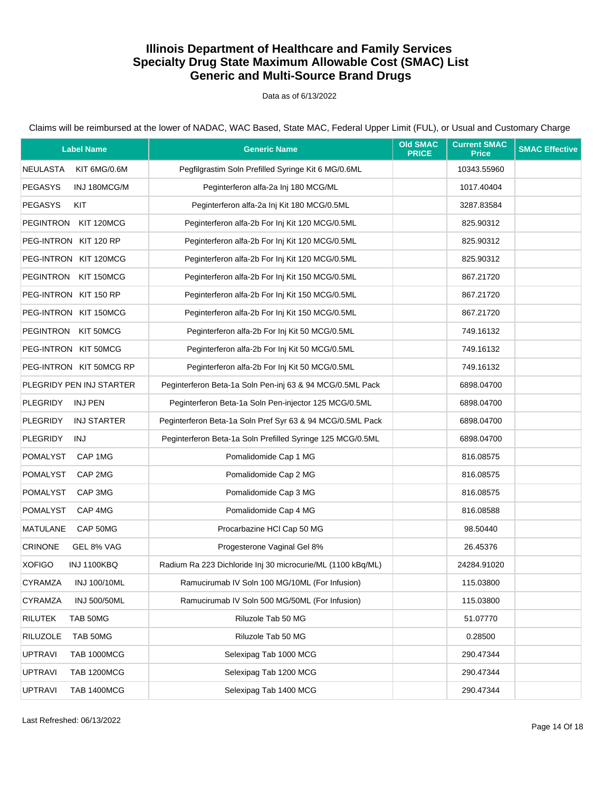Data as of 6/13/2022

| <b>Label Name</b>                     | <b>Generic Name</b>                                         | <b>Old SMAC</b><br><b>PRICE</b> | <b>Current SMAC</b><br><b>Price</b> | <b>SMAC Effective</b> |
|---------------------------------------|-------------------------------------------------------------|---------------------------------|-------------------------------------|-----------------------|
| <b>NEULASTA</b><br>KIT 6MG/0.6M       | Pegfilgrastim Soln Prefilled Syringe Kit 6 MG/0.6ML         |                                 | 10343.55960                         |                       |
| <b>PEGASYS</b><br>INJ 180MCG/M        | Peginterferon alfa-2a Inj 180 MCG/ML                        |                                 | 1017.40404                          |                       |
| <b>PEGASYS</b><br>KIT                 | Peginterferon alfa-2a Inj Kit 180 MCG/0.5ML                 |                                 | 3287.83584                          |                       |
| PEGINTRON<br>KIT 120MCG               | Peginterferon alfa-2b For Inj Kit 120 MCG/0.5ML             |                                 | 825.90312                           |                       |
| PEG-INTRON KIT 120 RP                 | Peginterferon alfa-2b For Inj Kit 120 MCG/0.5ML             |                                 | 825.90312                           |                       |
| PEG-INTRON KIT 120MCG                 | Peginterferon alfa-2b For Inj Kit 120 MCG/0.5ML             |                                 | 825.90312                           |                       |
| PEGINTRON KIT 150MCG                  | Peginterferon alfa-2b For Inj Kit 150 MCG/0.5ML             |                                 | 867.21720                           |                       |
| PEG-INTRON KIT 150 RP                 | Peginterferon alfa-2b For Inj Kit 150 MCG/0.5ML             |                                 | 867.21720                           |                       |
| PEG-INTRON KIT 150MCG                 | Peginterferon alfa-2b For Inj Kit 150 MCG/0.5ML             |                                 | 867.21720                           |                       |
| PEGINTRON KIT 50MCG                   | Peginterferon alfa-2b For Inj Kit 50 MCG/0.5ML              |                                 | 749.16132                           |                       |
| PEG-INTRON KIT 50MCG                  | Peginterferon alfa-2b For Inj Kit 50 MCG/0.5ML              |                                 | 749.16132                           |                       |
| PEG-INTRON KIT 50MCG RP               | Peginterferon alfa-2b For Inj Kit 50 MCG/0.5ML              |                                 | 749.16132                           |                       |
| PLEGRIDY PEN INJ STARTER              | Peginterferon Beta-1a Soln Pen-inj 63 & 94 MCG/0.5ML Pack   |                                 | 6898.04700                          |                       |
| <b>PLEGRIDY</b><br><b>INJ PEN</b>     | Peginterferon Beta-1a Soln Pen-injector 125 MCG/0.5ML       |                                 | 6898.04700                          |                       |
| <b>PLEGRIDY</b><br><b>INJ STARTER</b> | Peginterferon Beta-1a Soln Pref Syr 63 & 94 MCG/0.5ML Pack  |                                 | 6898.04700                          |                       |
| <b>PLEGRIDY</b><br>INJ                | Peginterferon Beta-1a Soln Prefilled Syringe 125 MCG/0.5ML  |                                 | 6898.04700                          |                       |
| POMALYST<br>CAP 1MG                   | Pomalidomide Cap 1 MG                                       |                                 | 816.08575                           |                       |
| <b>POMALYST</b><br>CAP 2MG            | Pomalidomide Cap 2 MG                                       |                                 | 816.08575                           |                       |
| <b>POMALYST</b><br>CAP 3MG            | Pomalidomide Cap 3 MG                                       |                                 | 816.08575                           |                       |
| <b>POMALYST</b><br>CAP 4MG            | Pomalidomide Cap 4 MG                                       |                                 | 816.08588                           |                       |
| <b>MATULANE</b><br>CAP 50MG           | Procarbazine HCl Cap 50 MG                                  |                                 | 98.50440                            |                       |
| <b>CRINONE</b><br>GEL 8% VAG          | Progesterone Vaginal Gel 8%                                 |                                 | 26.45376                            |                       |
| <b>XOFIGO</b><br><b>INJ 1100KBQ</b>   | Radium Ra 223 Dichloride Inj 30 microcurie/ML (1100 kBq/ML) |                                 | 24284.91020                         |                       |
| <b>CYRAMZA</b><br><b>INJ 100/10ML</b> | Ramucirumab IV Soln 100 MG/10ML (For Infusion)              |                                 | 115.03800                           |                       |
| <b>INJ 500/50ML</b><br><b>CYRAMZA</b> | Ramucirumab IV Soln 500 MG/50ML (For Infusion)              |                                 | 115.03800                           |                       |
| <b>RILUTEK</b><br>TAB 50MG            | Riluzole Tab 50 MG                                          |                                 | 51.07770                            |                       |
| <b>RILUZOLE</b><br>TAB 50MG           | Riluzole Tab 50 MG                                          |                                 | 0.28500                             |                       |
| <b>UPTRAVI</b><br><b>TAB 1000MCG</b>  | Selexipag Tab 1000 MCG                                      |                                 | 290.47344                           |                       |
| <b>UPTRAVI</b><br><b>TAB 1200MCG</b>  | Selexipag Tab 1200 MCG                                      |                                 | 290.47344                           |                       |
| <b>UPTRAVI</b><br><b>TAB 1400MCG</b>  | Selexipag Tab 1400 MCG                                      |                                 | 290.47344                           |                       |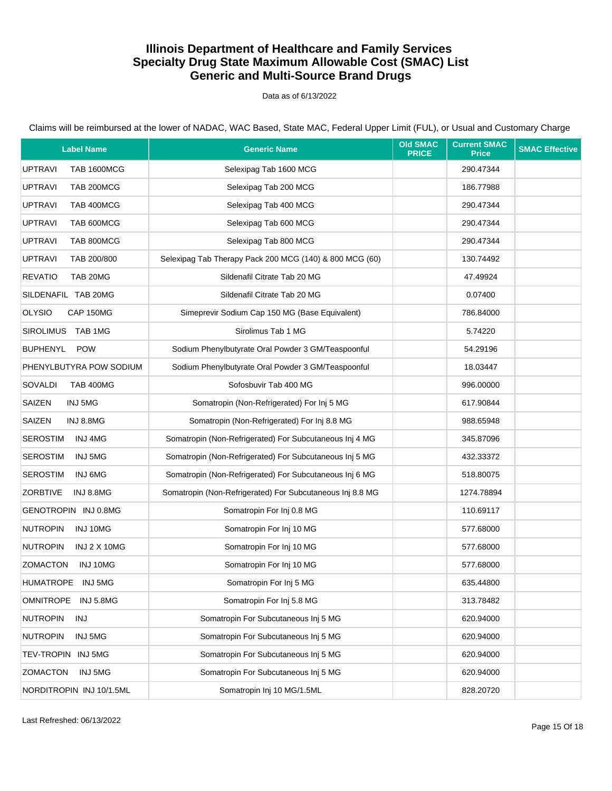Data as of 6/13/2022

Claims will be reimbursed at the lower of NADAC, WAC Based, State MAC, Federal Upper Limit (FUL), or Usual and Customary Charge

| <b>Label Name</b>                      | <b>Generic Name</b>                                       | <b>Old SMAC</b><br><b>PRICE</b> | <b>Current SMAC</b><br><b>Price</b> | <b>SMAC Effective</b> |
|----------------------------------------|-----------------------------------------------------------|---------------------------------|-------------------------------------|-----------------------|
| <b>UPTRAVI</b><br><b>TAB 1600MCG</b>   | Selexipag Tab 1600 MCG                                    |                                 | 290.47344                           |                       |
| <b>UPTRAVI</b><br>TAB 200MCG           | Selexipag Tab 200 MCG                                     |                                 | 186.77988                           |                       |
| <b>UPTRAVI</b><br>TAB 400MCG           | Selexipag Tab 400 MCG                                     |                                 | 290.47344                           |                       |
| TAB 600MCG<br><b>UPTRAVI</b>           | Selexipag Tab 600 MCG                                     |                                 | 290.47344                           |                       |
| <b>UPTRAVI</b><br>TAB 800MCG           | Selexipag Tab 800 MCG                                     |                                 | 290.47344                           |                       |
| <b>UPTRAVI</b><br>TAB 200/800          | Selexipag Tab Therapy Pack 200 MCG (140) & 800 MCG (60)   |                                 | 130.74492                           |                       |
| <b>REVATIO</b><br>TAB 20MG             | Sildenafil Citrate Tab 20 MG                              |                                 | 47.49924                            |                       |
| SILDENAFIL TAB 20MG                    | Sildenafil Citrate Tab 20 MG                              |                                 | 0.07400                             |                       |
| <b>OLYSIO</b><br>CAP 150MG             | Simeprevir Sodium Cap 150 MG (Base Equivalent)            |                                 | 786.84000                           |                       |
| SIROLIMUS TAB 1MG                      | Sirolimus Tab 1 MG                                        |                                 | 5.74220                             |                       |
| <b>BUPHENYL</b><br><b>POW</b>          | Sodium Phenylbutyrate Oral Powder 3 GM/Teaspoonful        |                                 | 54.29196                            |                       |
| PHENYLBUTYRA POW SODIUM                | Sodium Phenylbutyrate Oral Powder 3 GM/Teaspoonful        |                                 | 18.03447                            |                       |
| SOVALDI<br><b>TAB 400MG</b>            | Sofosbuvir Tab 400 MG                                     |                                 | 996.00000                           |                       |
| SAIZEN<br>INJ 5MG                      | Somatropin (Non-Refrigerated) For Inj 5 MG                |                                 | 617.90844                           |                       |
| SAIZEN<br>INJ 8.8MG                    | Somatropin (Non-Refrigerated) For Inj 8.8 MG              |                                 | 988.65948                           |                       |
| <b>SEROSTIM</b><br>INJ 4MG             | Somatropin (Non-Refrigerated) For Subcutaneous Inj 4 MG   |                                 | 345.87096                           |                       |
| <b>SEROSTIM</b><br>INJ 5MG             | Somatropin (Non-Refrigerated) For Subcutaneous Inj 5 MG   |                                 | 432.33372                           |                       |
| <b>SEROSTIM</b><br>INJ 6MG             | Somatropin (Non-Refrigerated) For Subcutaneous Inj 6 MG   |                                 | 518.80075                           |                       |
| <b>ZORBTIVE</b><br>INJ 8.8MG           | Somatropin (Non-Refrigerated) For Subcutaneous Inj 8.8 MG |                                 | 1274.78894                          |                       |
| GENOTROPIN INJ 0.8MG                   | Somatropin For Inj 0.8 MG                                 |                                 | 110.69117                           |                       |
| <b>NUTROPIN</b><br>INJ 10MG            | Somatropin For Inj 10 MG                                  |                                 | 577.68000                           |                       |
| <b>NUTROPIN</b><br><b>INJ 2 X 10MG</b> | Somatropin For Inj 10 MG                                  |                                 | 577.68000                           |                       |
| <b>ZOMACTON</b><br>INJ 10MG            | Somatropin For Inj 10 MG                                  |                                 | 577.68000                           |                       |
| HUMATROPE INJ 5MG                      | Somatropin For Inj 5 MG                                   |                                 | 635.44800                           |                       |
| <b>OMNITROPE</b><br>INJ 5.8MG          | Somatropin For Inj 5.8 MG                                 |                                 | 313.78482                           |                       |
| <b>NUTROPIN</b><br>INJ                 | Somatropin For Subcutaneous Inj 5 MG                      |                                 | 620.94000                           |                       |
| <b>NUTROPIN</b><br>INJ 5MG             | Somatropin For Subcutaneous Inj 5 MG                      |                                 | 620.94000                           |                       |
| TEV-TROPIN INJ 5MG                     | Somatropin For Subcutaneous Inj 5 MG                      |                                 | 620.94000                           |                       |
| <b>ZOMACTON</b><br>INJ 5MG             | Somatropin For Subcutaneous Inj 5 MG                      |                                 | 620.94000                           |                       |
| NORDITROPIN INJ 10/1.5ML               | Somatropin Inj 10 MG/1.5ML                                |                                 | 828.20720                           |                       |

Last Refreshed: 06/13/2022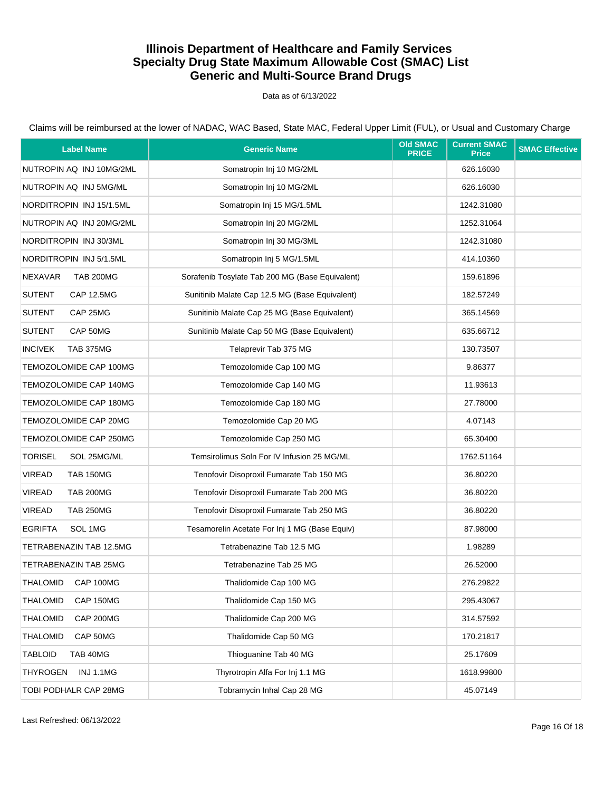Data as of 6/13/2022

| <b>Label Name</b>                   | <b>Generic Name</b>                             | <b>Old SMAC</b><br><b>PRICE</b> | <b>Current SMAC</b><br><b>Price</b> | <b>SMAC Effective</b> |
|-------------------------------------|-------------------------------------------------|---------------------------------|-------------------------------------|-----------------------|
| NUTROPIN AQ INJ 10MG/2ML            | Somatropin Inj 10 MG/2ML                        |                                 | 626.16030                           |                       |
| NUTROPIN AQ INJ 5MG/ML              | Somatropin Inj 10 MG/2ML                        |                                 | 626.16030                           |                       |
| NORDITROPIN INJ 15/1.5ML            | Somatropin Inj 15 MG/1.5ML                      |                                 | 1242.31080                          |                       |
| NUTROPIN AQ INJ 20MG/2ML            | Somatropin Inj 20 MG/2ML                        |                                 | 1252.31064                          |                       |
| NORDITROPIN INJ 30/3ML              | Somatropin Inj 30 MG/3ML                        |                                 | 1242.31080                          |                       |
| NORDITROPIN INJ 5/1.5ML             | Somatropin Inj 5 MG/1.5ML                       |                                 | 414.10360                           |                       |
| <b>NEXAVAR</b><br><b>TAB 200MG</b>  | Sorafenib Tosylate Tab 200 MG (Base Equivalent) |                                 | 159.61896                           |                       |
| <b>SUTENT</b><br><b>CAP 12.5MG</b>  | Sunitinib Malate Cap 12.5 MG (Base Equivalent)  |                                 | 182.57249                           |                       |
| <b>SUTENT</b><br>CAP 25MG           | Sunitinib Malate Cap 25 MG (Base Equivalent)    |                                 | 365.14569                           |                       |
| <b>SUTENT</b><br>CAP 50MG           | Sunitinib Malate Cap 50 MG (Base Equivalent)    |                                 | 635.66712                           |                       |
| <b>INCIVEK</b><br><b>TAB 375MG</b>  | Telaprevir Tab 375 MG                           |                                 | 130.73507                           |                       |
| TEMOZOLOMIDE CAP 100MG              | Temozolomide Cap 100 MG                         |                                 | 9.86377                             |                       |
| TEMOZOLOMIDE CAP 140MG              | Temozolomide Cap 140 MG                         |                                 | 11.93613                            |                       |
| TEMOZOLOMIDE CAP 180MG              | Temozolomide Cap 180 MG                         |                                 | 27.78000                            |                       |
| TEMOZOLOMIDE CAP 20MG               | Temozolomide Cap 20 MG                          |                                 | 4.07143                             |                       |
| TEMOZOLOMIDE CAP 250MG              | Temozolomide Cap 250 MG                         |                                 | 65.30400                            |                       |
| <b>TORISEL</b><br>SOL 25MG/ML       | Temsirolimus Soln For IV Infusion 25 MG/ML      |                                 | 1762.51164                          |                       |
| <b>VIREAD</b><br><b>TAB 150MG</b>   | Tenofovir Disoproxil Fumarate Tab 150 MG        |                                 | 36.80220                            |                       |
| <b>VIREAD</b><br><b>TAB 200MG</b>   | Tenofovir Disoproxil Fumarate Tab 200 MG        |                                 | 36.80220                            |                       |
| <b>VIREAD</b><br><b>TAB 250MG</b>   | Tenofovir Disoproxil Fumarate Tab 250 MG        |                                 | 36.80220                            |                       |
| <b>EGRIFTA</b><br>SOL 1MG           | Tesamorelin Acetate For Inj 1 MG (Base Equiv)   |                                 | 87.98000                            |                       |
| TETRABENAZIN TAB 12.5MG             | Tetrabenazine Tab 12.5 MG                       |                                 | 1.98289                             |                       |
| TETRABENAZIN TAB 25MG               | Tetrabenazine Tab 25 MG                         |                                 | 26.52000                            |                       |
| THALOMID<br><b>CAP 100MG</b>        | Thalidomide Cap 100 MG                          |                                 | 276.29822                           |                       |
| <b>THALOMID</b><br>CAP 150MG        | Thalidomide Cap 150 MG                          |                                 | 295.43067                           |                       |
| <b>THALOMID</b><br><b>CAP 200MG</b> | Thalidomide Cap 200 MG                          |                                 | 314.57592                           |                       |
| <b>THALOMID</b><br>CAP 50MG         | Thalidomide Cap 50 MG                           |                                 | 170.21817                           |                       |
| <b>TABLOID</b><br>TAB 40MG          | Thioguanine Tab 40 MG                           |                                 | 25.17609                            |                       |
| <b>THYROGEN</b><br><b>INJ 1.1MG</b> | Thyrotropin Alfa For Inj 1.1 MG                 |                                 | 1618.99800                          |                       |
| TOBI PODHALR CAP 28MG               | Tobramycin Inhal Cap 28 MG                      |                                 | 45.07149                            |                       |